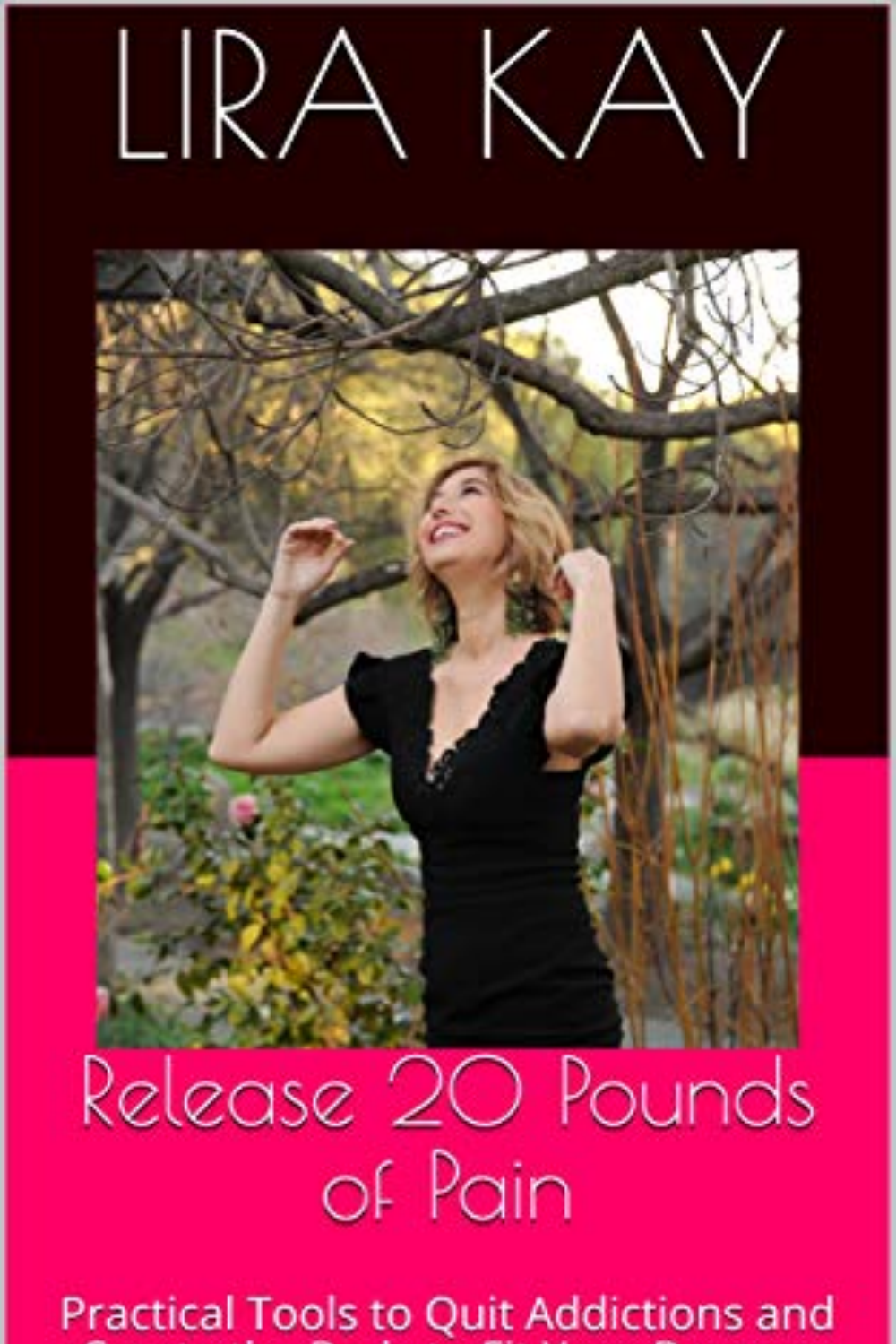



## Release 20 Pounds of Pain

Practical Tools to Quit Addictions and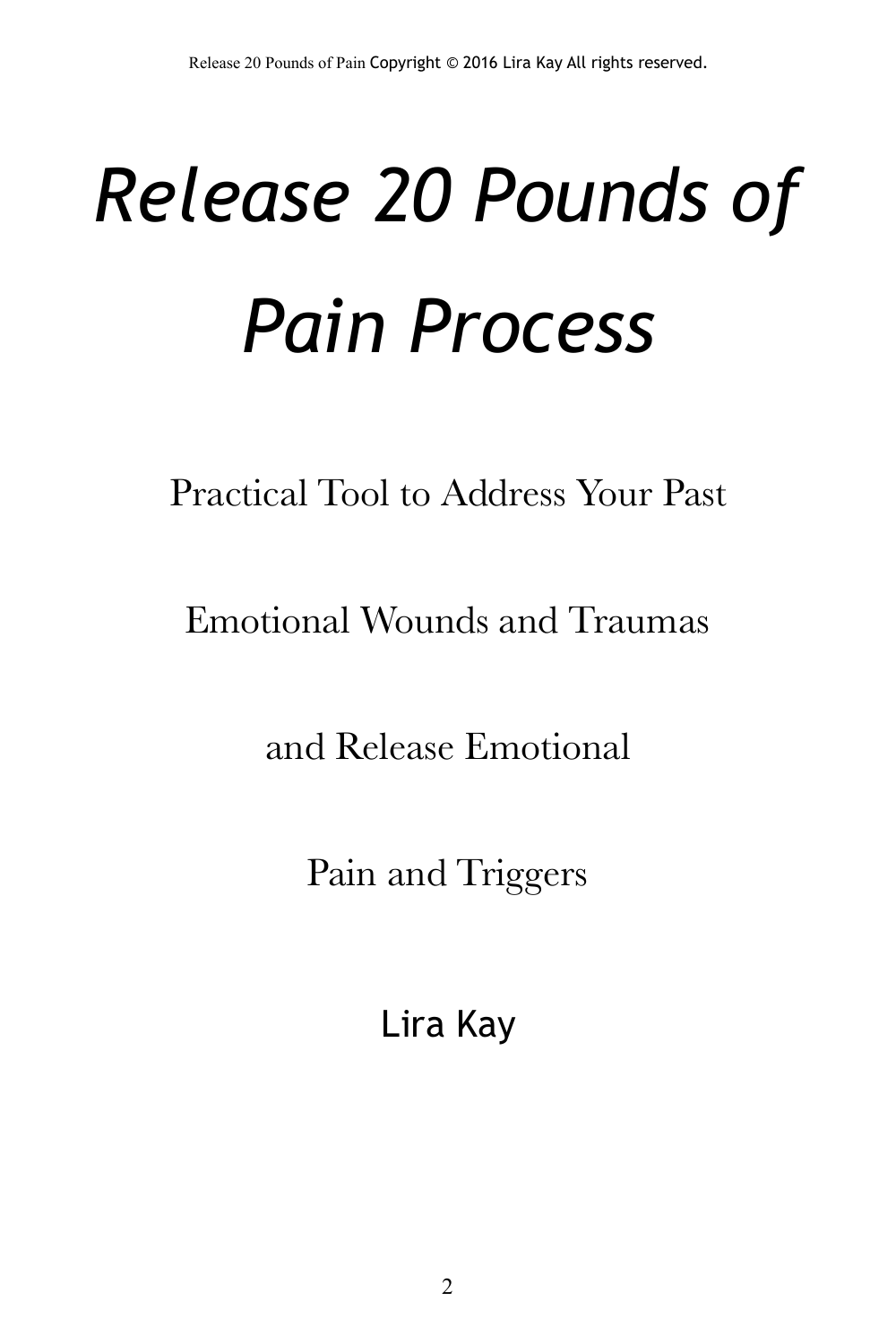# *Release 20 Pounds of Pain Process*

Practical Tool to Address Your Past

Emotional Wounds and Traumas

and Release Emotional

Pain and Triggers

Lira Kay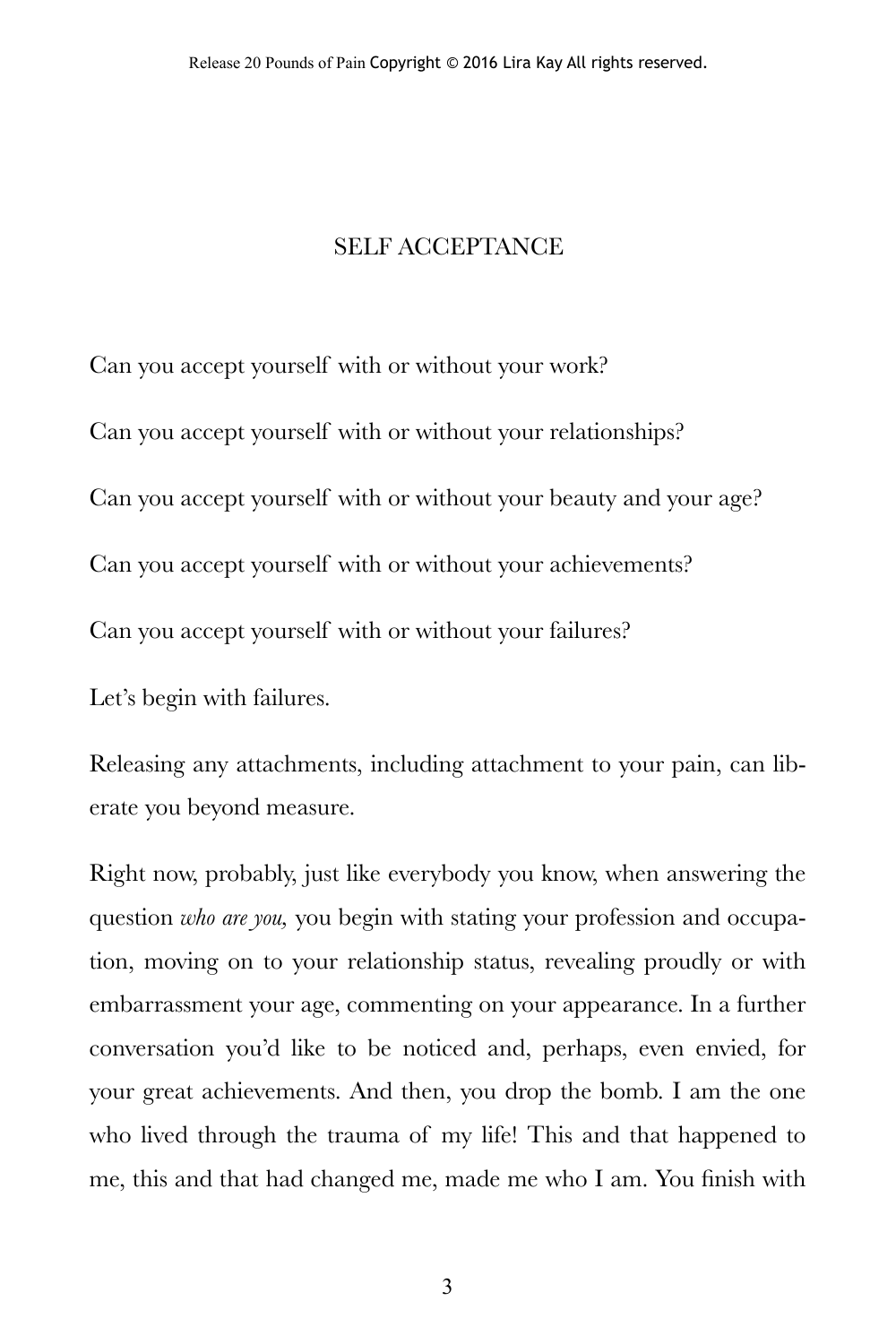#### SELF ACCEPTANCE

Can you accept yourself with or without your work?

Can you accept yourself with or without your relationships?

Can you accept yourself with or without your beauty and your age?

Can you accept yourself with or without your achievements?

Can you accept yourself with or without your failures?

Let's begin with failures.

Releasing any attachments, including attachment to your pain, can liberate you beyond measure.

Right now, probably, just like everybody you know, when answering the question *who are you,* you begin with stating your profession and occupation, moving on to your relationship status, revealing proudly or with embarrassment your age, commenting on your appearance. In a further conversation you'd like to be noticed and, perhaps, even envied, for your great achievements. And then, you drop the bomb. I am the one who lived through the trauma of my life! This and that happened to me, this and that had changed me, made me who I am. You finish with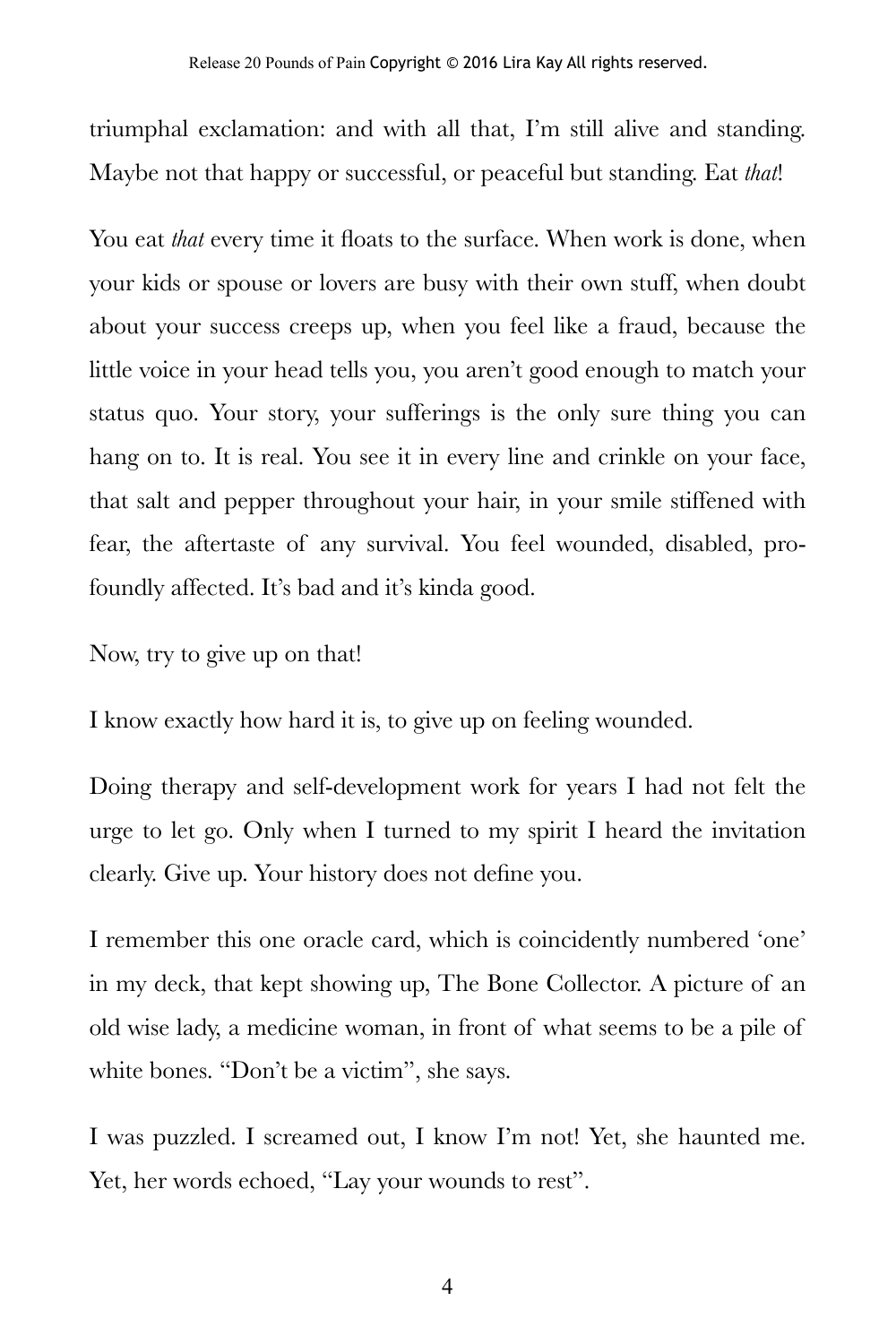triumphal exclamation: and with all that, I'm still alive and standing. Maybe not that happy or successful, or peaceful but standing. Eat *that*!

You eat *that* every time it floats to the surface. When work is done, when your kids or spouse or lovers are busy with their own stuff, when doubt about your success creeps up, when you feel like a fraud, because the little voice in your head tells you, you aren't good enough to match your status quo. Your story, your sufferings is the only sure thing you can hang on to. It is real. You see it in every line and crinkle on your face, that salt and pepper throughout your hair, in your smile stiffened with fear, the aftertaste of any survival. You feel wounded, disabled, profoundly affected. It's bad and it's kinda good.

Now, try to give up on that!

I know exactly how hard it is, to give up on feeling wounded.

Doing therapy and self-development work for years I had not felt the urge to let go. Only when I turned to my spirit I heard the invitation clearly. Give up. Your history does not define you.

I remember this one oracle card, which is coincidently numbered 'one' in my deck, that kept showing up, The Bone Collector. A picture of an old wise lady, a medicine woman, in front of what seems to be a pile of white bones. "Don't be a victim", she says.

I was puzzled. I screamed out, I know I'm not! Yet, she haunted me. Yet, her words echoed, "Lay your wounds to rest".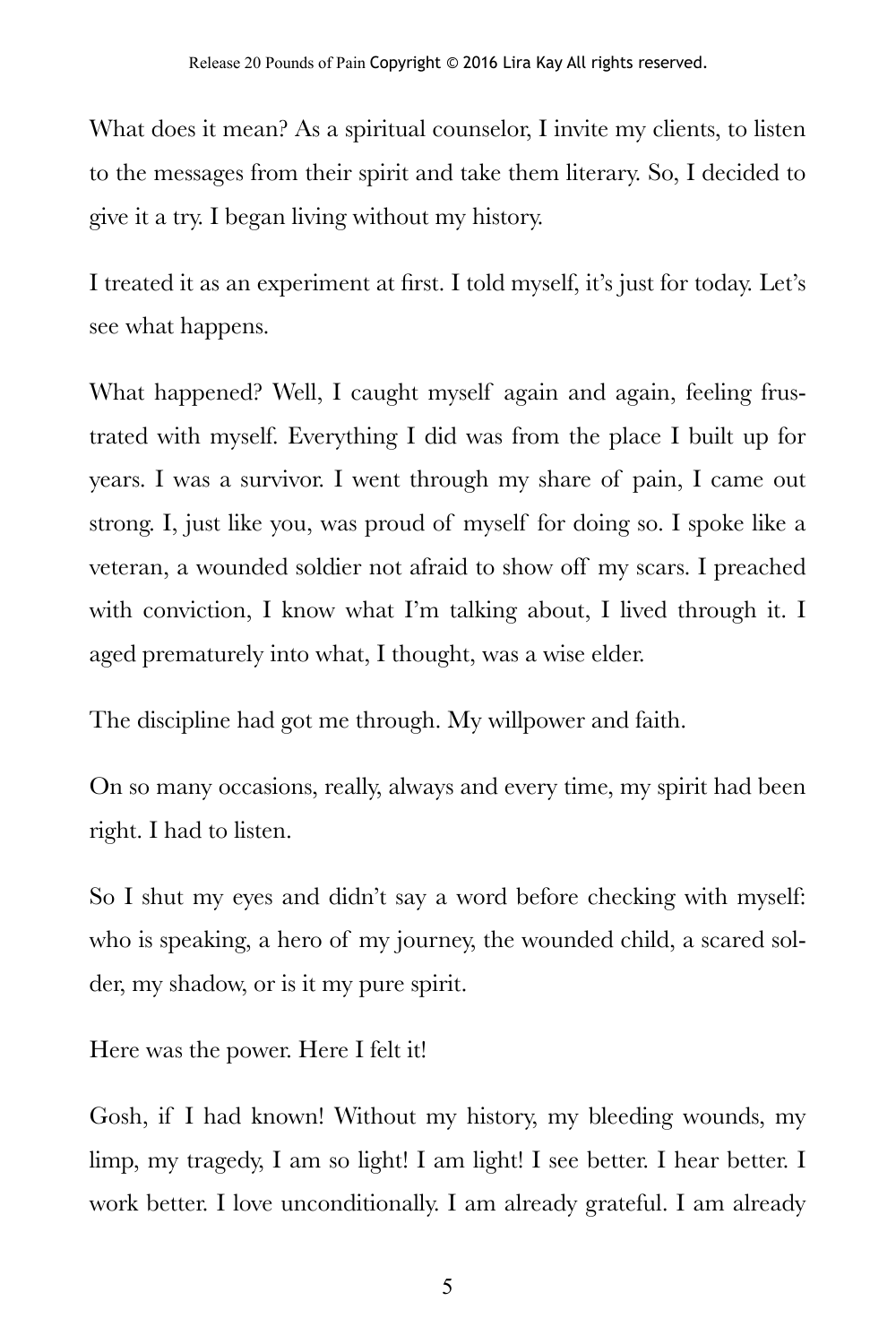What does it mean? As a spiritual counselor, I invite my clients, to listen to the messages from their spirit and take them literary. So, I decided to give it a try. I began living without my history.

I treated it as an experiment at first. I told myself, it's just for today. Let's see what happens.

What happened? Well, I caught myself again and again, feeling frustrated with myself. Everything I did was from the place I built up for years. I was a survivor. I went through my share of pain, I came out strong. I, just like you, was proud of myself for doing so. I spoke like a veteran, a wounded soldier not afraid to show off my scars. I preached with conviction, I know what I'm talking about, I lived through it. I aged prematurely into what, I thought, was a wise elder.

The discipline had got me through. My willpower and faith.

On so many occasions, really, always and every time, my spirit had been right. I had to listen.

So I shut my eyes and didn't say a word before checking with myself: who is speaking, a hero of my journey, the wounded child, a scared solder, my shadow, or is it my pure spirit.

Here was the power. Here I felt it!

Gosh, if I had known! Without my history, my bleeding wounds, my limp, my tragedy, I am so light! I am light! I see better. I hear better. I work better. I love unconditionally. I am already grateful. I am already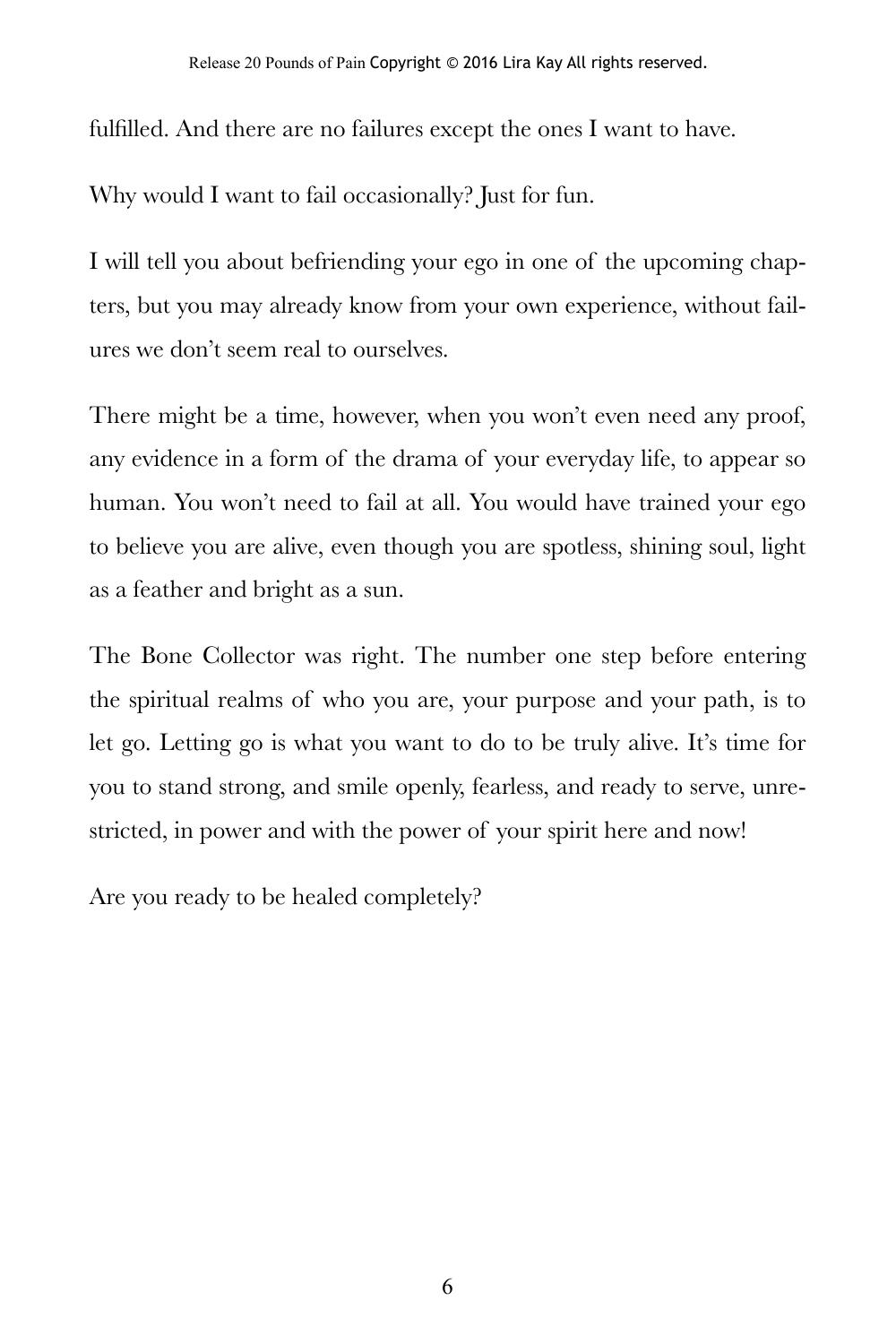fulfilled. And there are no failures except the ones I want to have.

Why would I want to fail occasionally? Just for fun.

I will tell you about befriending your ego in one of the upcoming chapters, but you may already know from your own experience, without failures we don't seem real to ourselves.

There might be a time, however, when you won't even need any proof, any evidence in a form of the drama of your everyday life, to appear so human. You won't need to fail at all. You would have trained your ego to believe you are alive, even though you are spotless, shining soul, light as a feather and bright as a sun.

The Bone Collector was right. The number one step before entering the spiritual realms of who you are, your purpose and your path, is to let go. Letting go is what you want to do to be truly alive. It's time for you to stand strong, and smile openly, fearless, and ready to serve, unrestricted, in power and with the power of your spirit here and now!

Are you ready to be healed completely?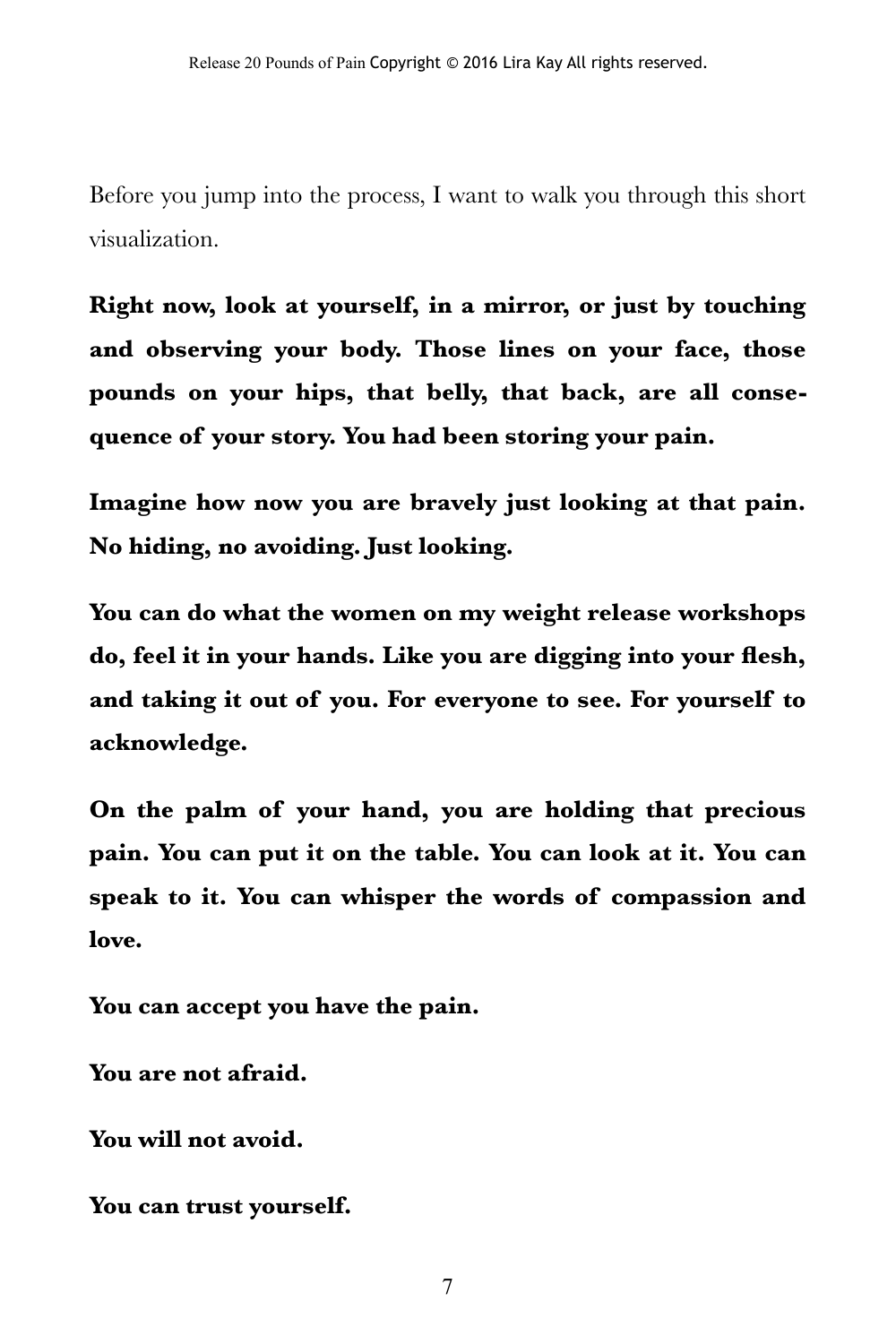Before you jump into the process, I want to walk you through this short visualization.

**Right now, look at yourself, in a mirror, or just by touching and observing your body. Those lines on your face, those pounds on your hips, that belly, that back, are all consequence of your story. You had been storing your pain.** 

**Imagine how now you are bravely just looking at that pain. No hiding, no avoiding. Just looking.** 

**You can do what the women on my weight release workshops do, feel it in your hands. Like you are digging into your flesh, and taking it out of you. For everyone to see. For yourself to acknowledge.** 

**On the palm of your hand, you are holding that precious pain. You can put it on the table. You can look at it. You can speak to it. You can whisper the words of compassion and love.** 

**You can accept you have the pain.** 

**You are not afraid.** 

**You will not avoid.** 

**You can trust yourself.** 

7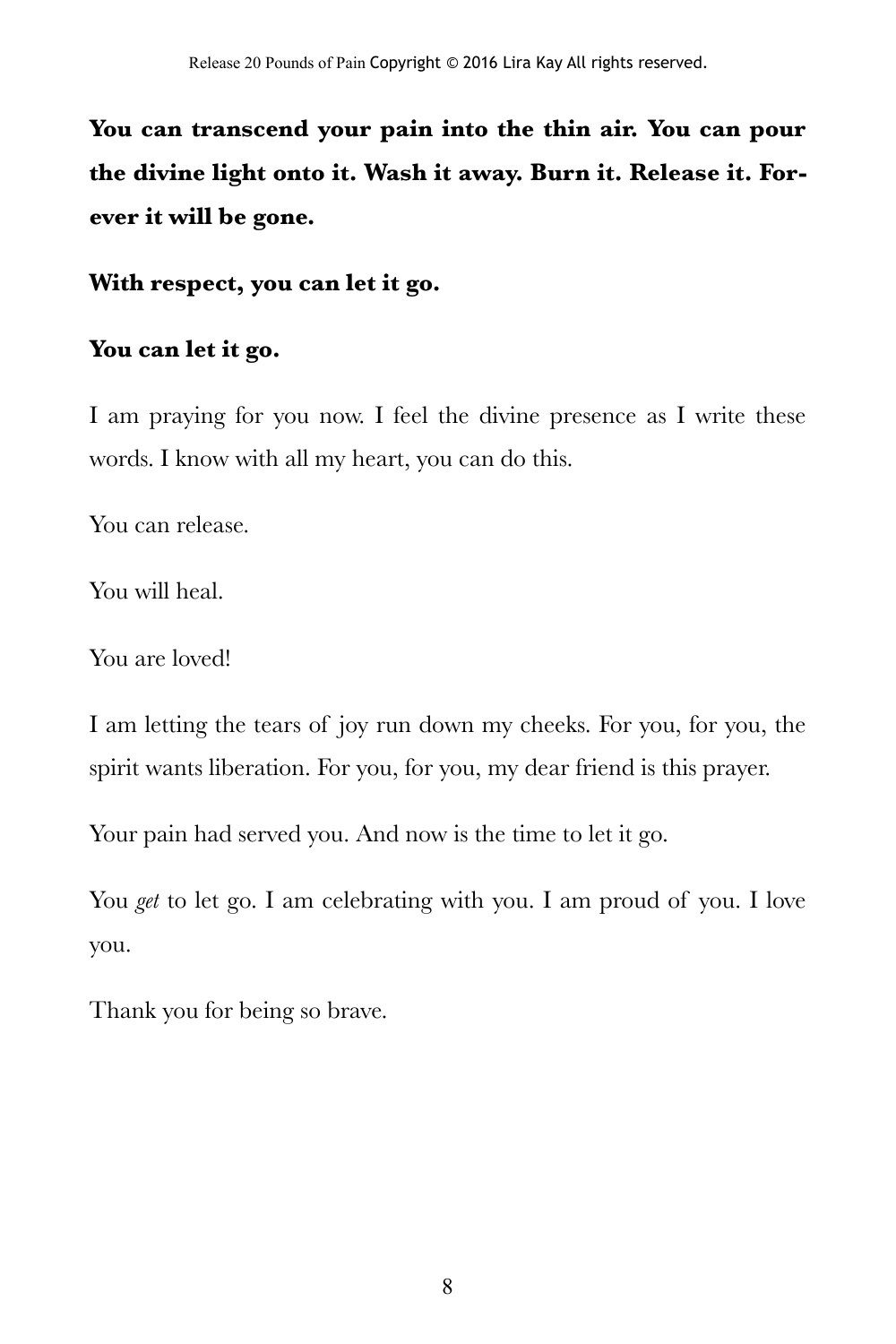**You can transcend your pain into the thin air. You can pour the divine light onto it. Wash it away. Burn it. Release it. Forever it will be gone.** 

**With respect, you can let it go.** 

#### **You can let it go.**

I am praying for you now. I feel the divine presence as I write these words. I know with all my heart, you can do this.

You can release.

You will heal.

You are loved!

I am letting the tears of joy run down my cheeks. For you, for you, the spirit wants liberation. For you, for you, my dear friend is this prayer.

Your pain had served you. And now is the time to let it go.

You *get* to let go. I am celebrating with you. I am proud of you. I love you.

Thank you for being so brave.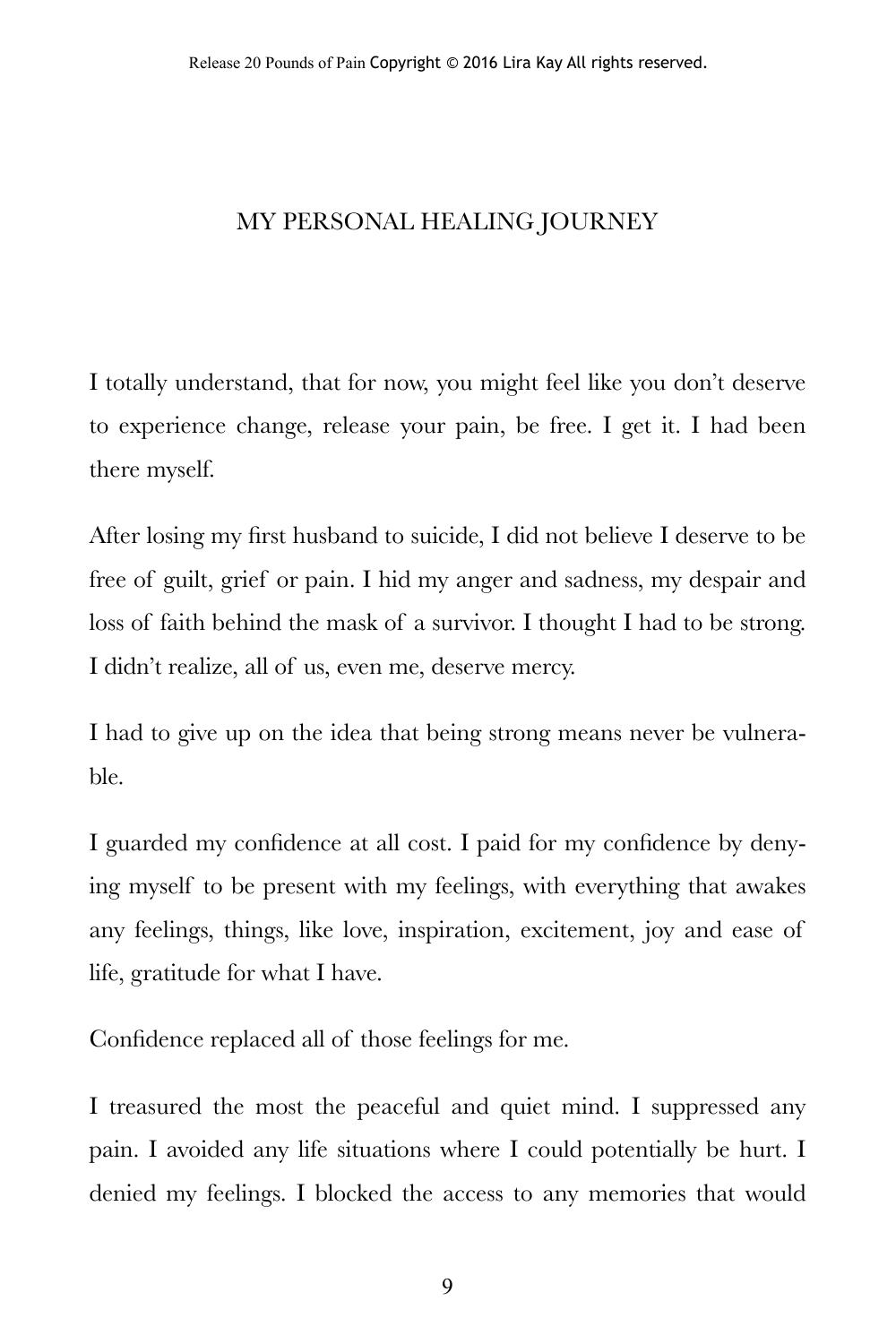#### MY PERSONAL HEALING JOURNEY

I totally understand, that for now, you might feel like you don't deserve to experience change, release your pain, be free. I get it. I had been there myself.

After losing my first husband to suicide, I did not believe I deserve to be free of guilt, grief or pain. I hid my anger and sadness, my despair and loss of faith behind the mask of a survivor. I thought I had to be strong. I didn't realize, all of us, even me, deserve mercy.

I had to give up on the idea that being strong means never be vulnerable.

I guarded my confidence at all cost. I paid for my confidence by denying myself to be present with my feelings, with everything that awakes any feelings, things, like love, inspiration, excitement, joy and ease of life, gratitude for what I have.

Confidence replaced all of those feelings for me.

I treasured the most the peaceful and quiet mind. I suppressed any pain. I avoided any life situations where I could potentially be hurt. I denied my feelings. I blocked the access to any memories that would

9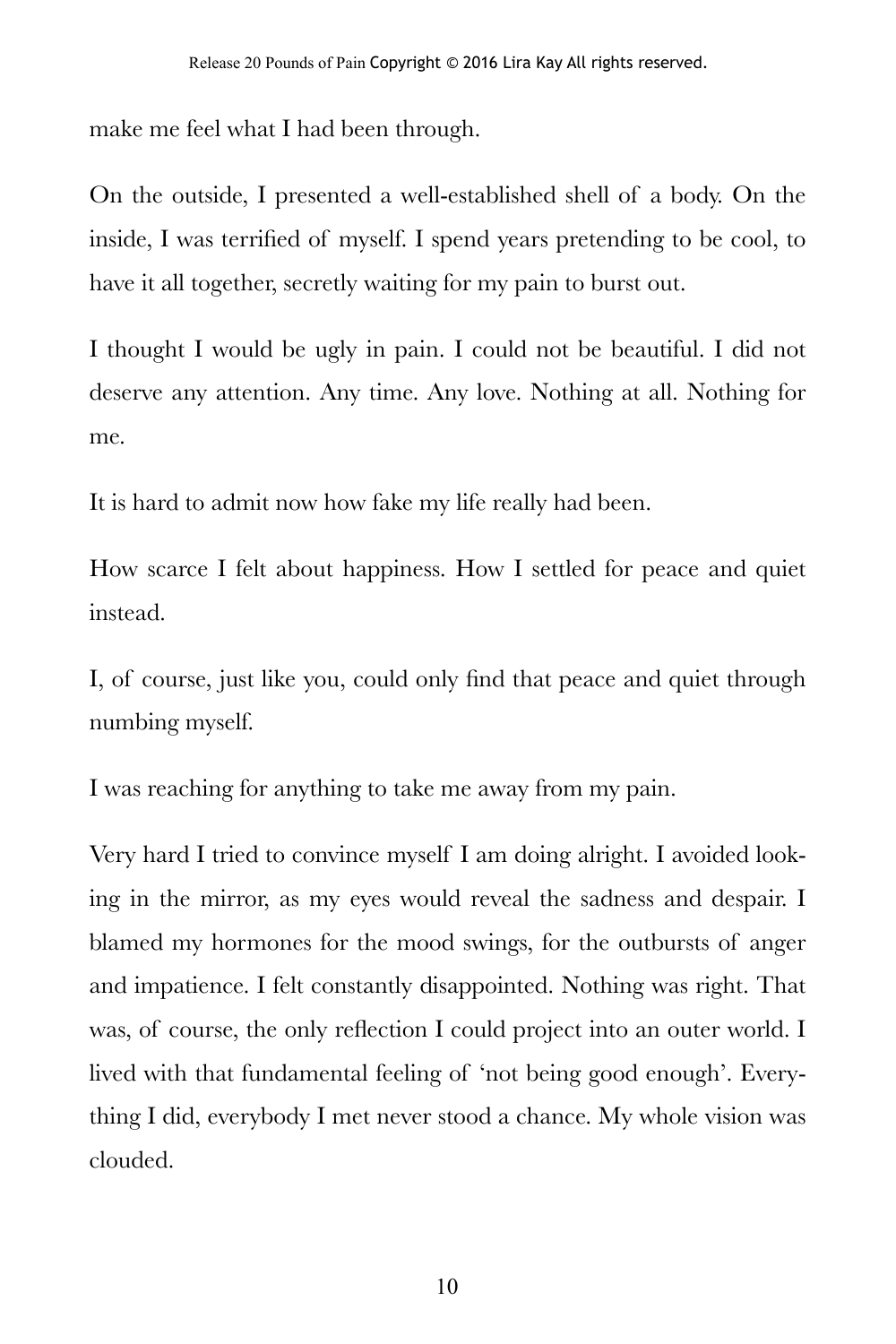make me feel what I had been through.

On the outside, I presented a well-established shell of a body. On the inside, I was terrified of myself. I spend years pretending to be cool, to have it all together, secretly waiting for my pain to burst out.

I thought I would be ugly in pain. I could not be beautiful. I did not deserve any attention. Any time. Any love. Nothing at all. Nothing for me.

It is hard to admit now how fake my life really had been.

How scarce I felt about happiness. How I settled for peace and quiet instead.

I, of course, just like you, could only find that peace and quiet through numbing myself.

I was reaching for anything to take me away from my pain.

Very hard I tried to convince myself I am doing alright. I avoided looking in the mirror, as my eyes would reveal the sadness and despair. I blamed my hormones for the mood swings, for the outbursts of anger and impatience. I felt constantly disappointed. Nothing was right. That was, of course, the only reflection I could project into an outer world. I lived with that fundamental feeling of 'not being good enough'. Everything I did, everybody I met never stood a chance. My whole vision was clouded.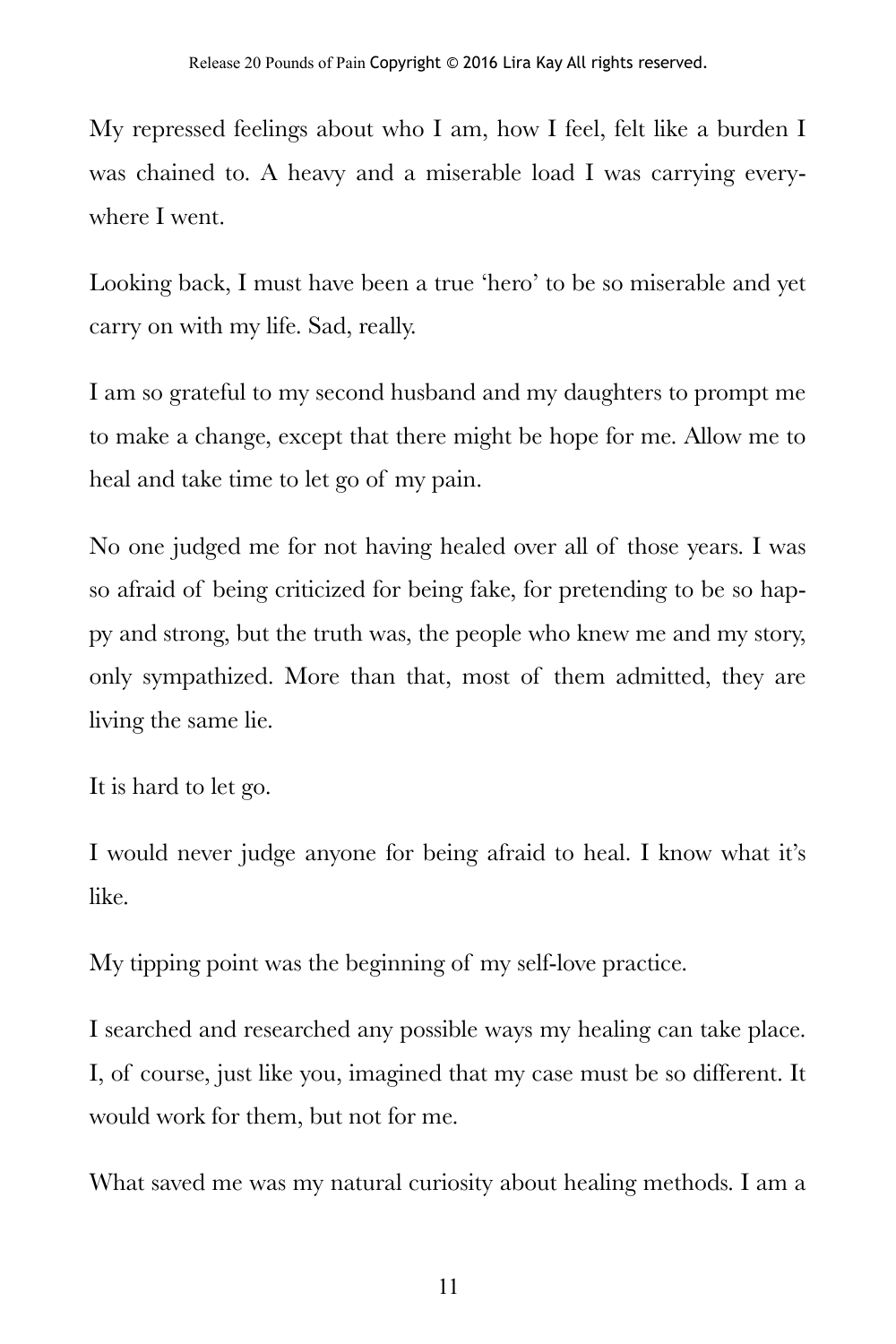My repressed feelings about who I am, how I feel, felt like a burden I was chained to. A heavy and a miserable load I was carrying everywhere I went.

Looking back, I must have been a true 'hero' to be so miserable and yet carry on with my life. Sad, really.

I am so grateful to my second husband and my daughters to prompt me to make a change, except that there might be hope for me. Allow me to heal and take time to let go of my pain.

No one judged me for not having healed over all of those years. I was so afraid of being criticized for being fake, for pretending to be so happy and strong, but the truth was, the people who knew me and my story, only sympathized. More than that, most of them admitted, they are living the same lie.

It is hard to let go.

I would never judge anyone for being afraid to heal. I know what it's like.

My tipping point was the beginning of my self-love practice.

I searched and researched any possible ways my healing can take place. I, of course, just like you, imagined that my case must be so different. It would work for them, but not for me.

What saved me was my natural curiosity about healing methods. I am a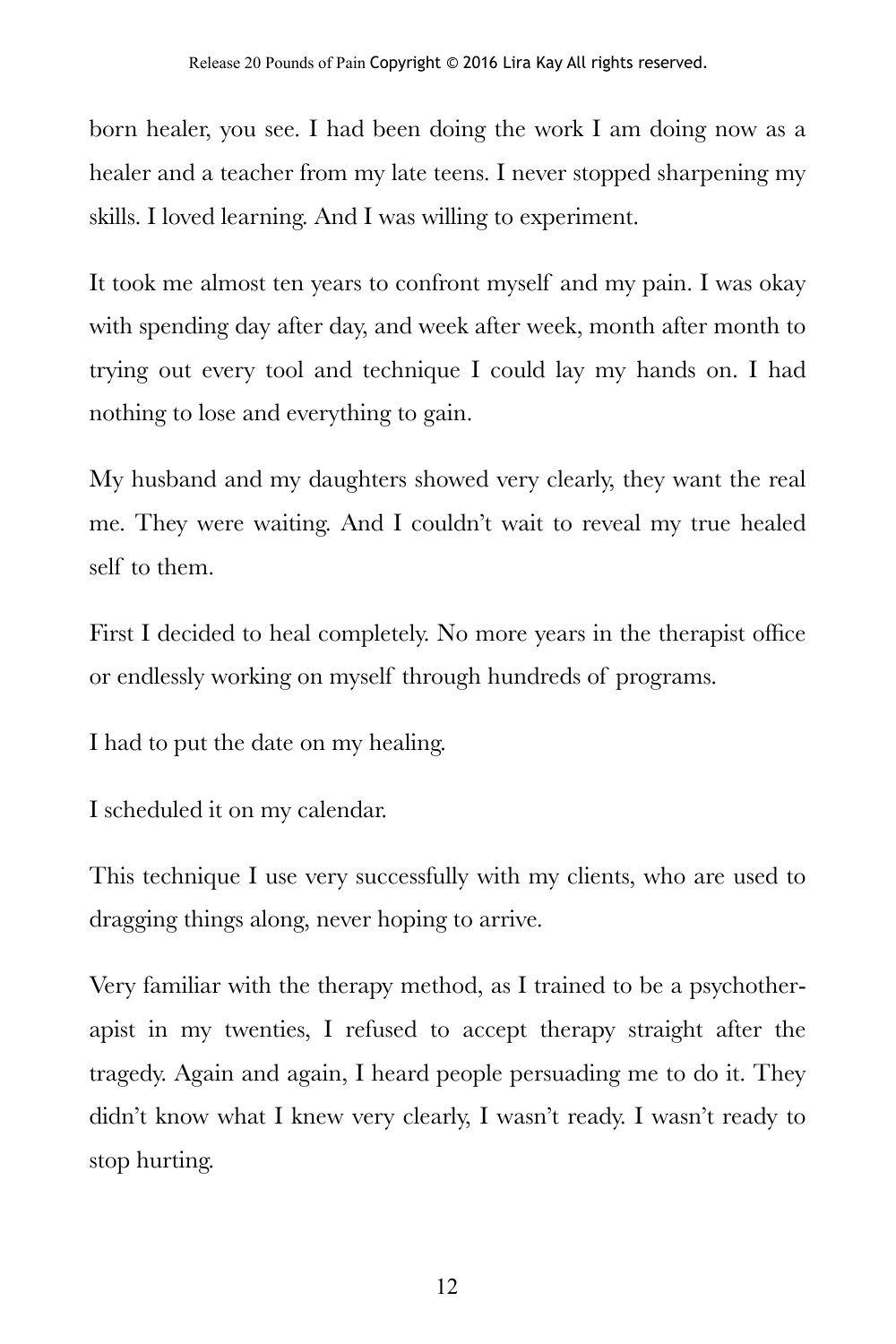born healer, you see. I had been doing the work I am doing now as a healer and a teacher from my late teens. I never stopped sharpening my skills. I loved learning. And I was willing to experiment.

It took me almost ten years to confront myself and my pain. I was okay with spending day after day, and week after week, month after month to trying out every tool and technique I could lay my hands on. I had nothing to lose and everything to gain.

My husband and my daughters showed very clearly, they want the real me. They were waiting. And I couldn't wait to reveal my true healed self to them.

First I decided to heal completely. No more years in the therapist office or endlessly working on myself through hundreds of programs.

I had to put the date on my healing.

I scheduled it on my calendar.

This technique I use very successfully with my clients, who are used to dragging things along, never hoping to arrive.

Very familiar with the therapy method, as I trained to be a psychotherapist in my twenties, I refused to accept therapy straight after the tragedy. Again and again, I heard people persuading me to do it. They didn't know what I knew very clearly, I wasn't ready. I wasn't ready to stop hurting.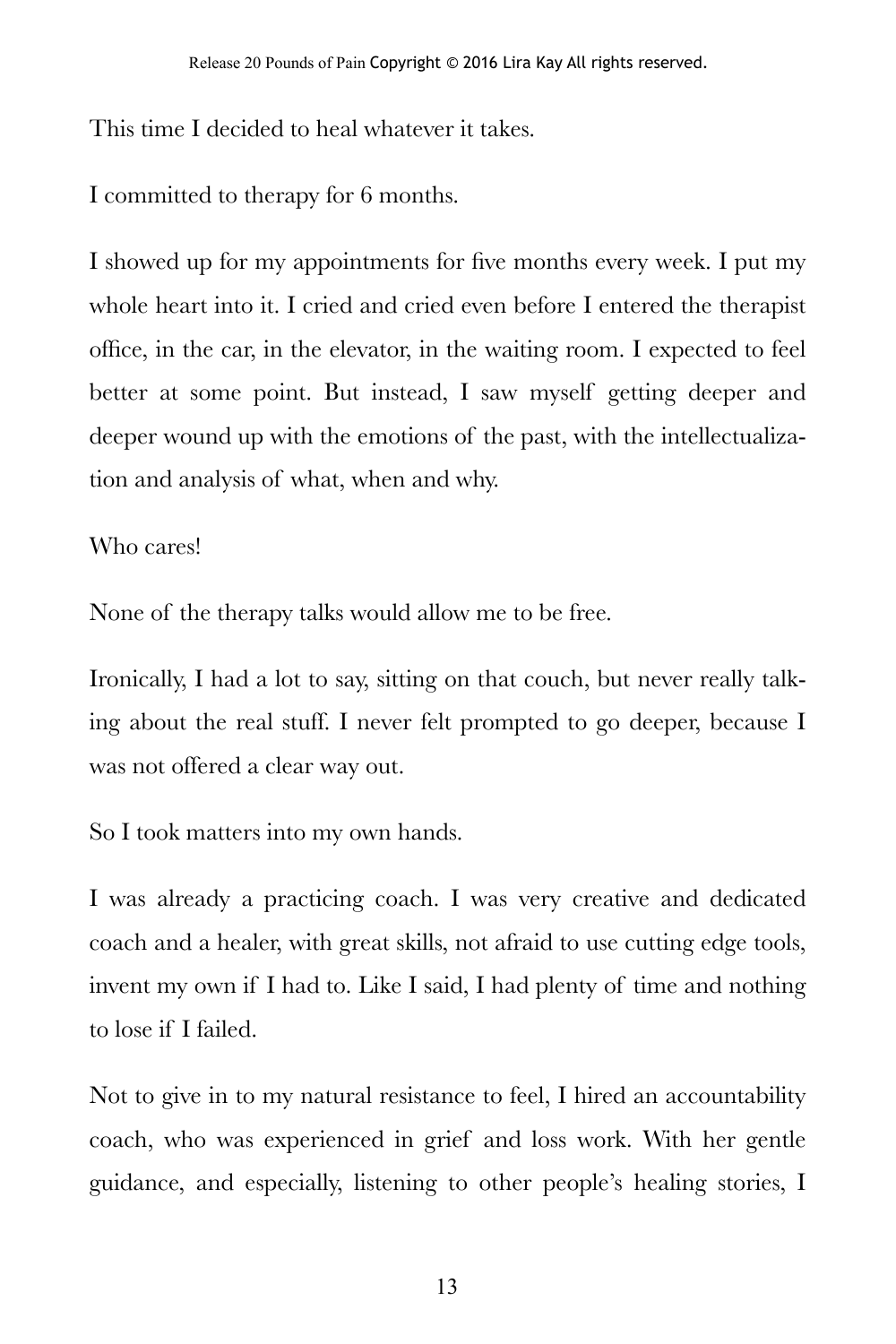This time I decided to heal whatever it takes.

I committed to therapy for 6 months.

I showed up for my appointments for five months every week. I put my whole heart into it. I cried and cried even before I entered the therapist office, in the car, in the elevator, in the waiting room. I expected to feel better at some point. But instead, I saw myself getting deeper and deeper wound up with the emotions of the past, with the intellectualization and analysis of what, when and why.

#### Who cares!

None of the therapy talks would allow me to be free.

Ironically, I had a lot to say, sitting on that couch, but never really talking about the real stuff. I never felt prompted to go deeper, because I was not offered a clear way out.

So I took matters into my own hands.

I was already a practicing coach. I was very creative and dedicated coach and a healer, with great skills, not afraid to use cutting edge tools, invent my own if I had to. Like I said, I had plenty of time and nothing to lose if I failed.

Not to give in to my natural resistance to feel, I hired an accountability coach, who was experienced in grief and loss work. With her gentle guidance, and especially, listening to other people's healing stories, I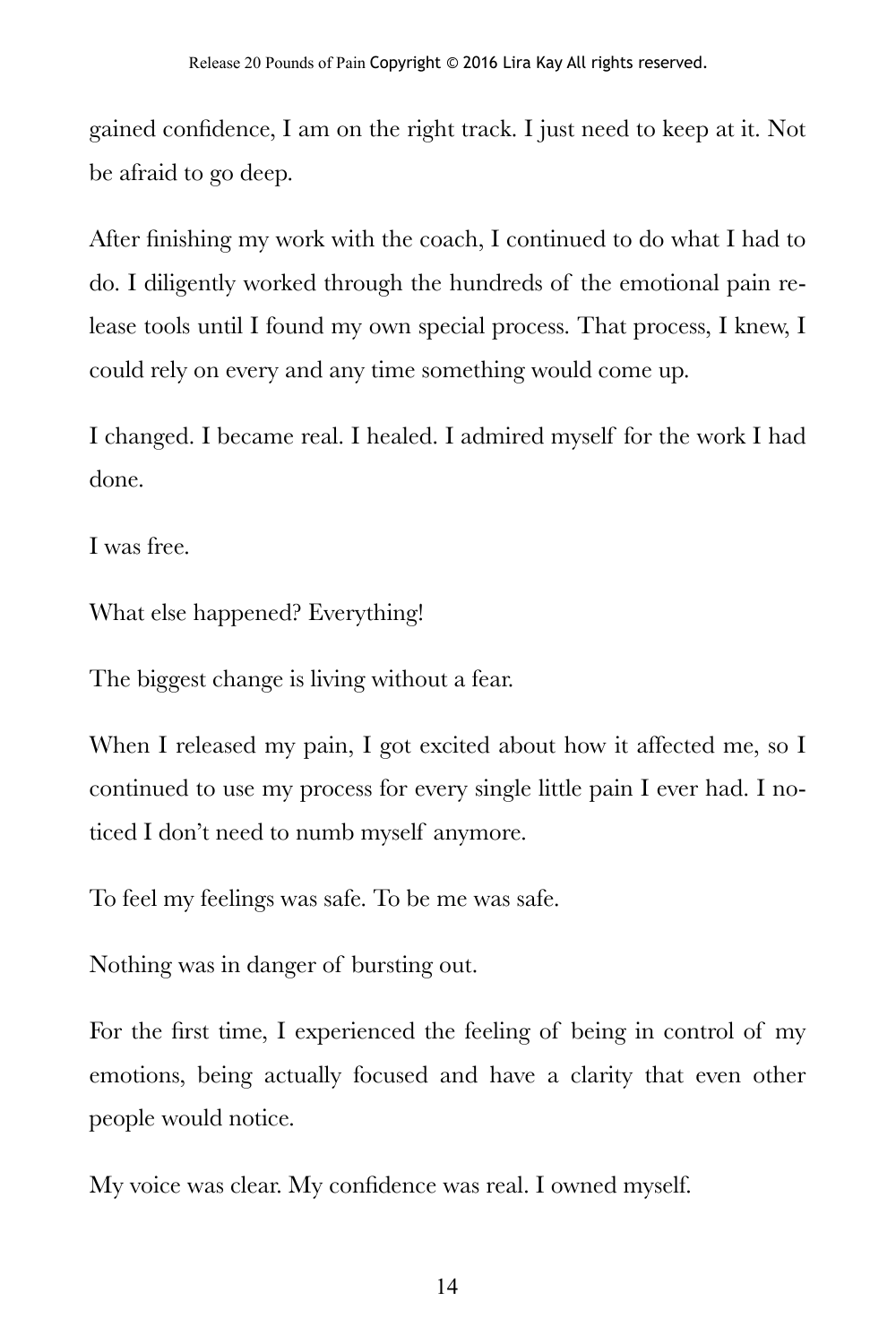gained confidence, I am on the right track. I just need to keep at it. Not be afraid to go deep.

After finishing my work with the coach, I continued to do what I had to do. I diligently worked through the hundreds of the emotional pain release tools until I found my own special process. That process, I knew, I could rely on every and any time something would come up.

I changed. I became real. I healed. I admired myself for the work I had done.

I was free.

What else happened? Everything!

The biggest change is living without a fear.

When I released my pain, I got excited about how it affected me, so I continued to use my process for every single little pain I ever had. I noticed I don't need to numb myself anymore.

To feel my feelings was safe. To be me was safe.

Nothing was in danger of bursting out.

For the first time, I experienced the feeling of being in control of my emotions, being actually focused and have a clarity that even other people would notice.

My voice was clear. My confidence was real. I owned myself.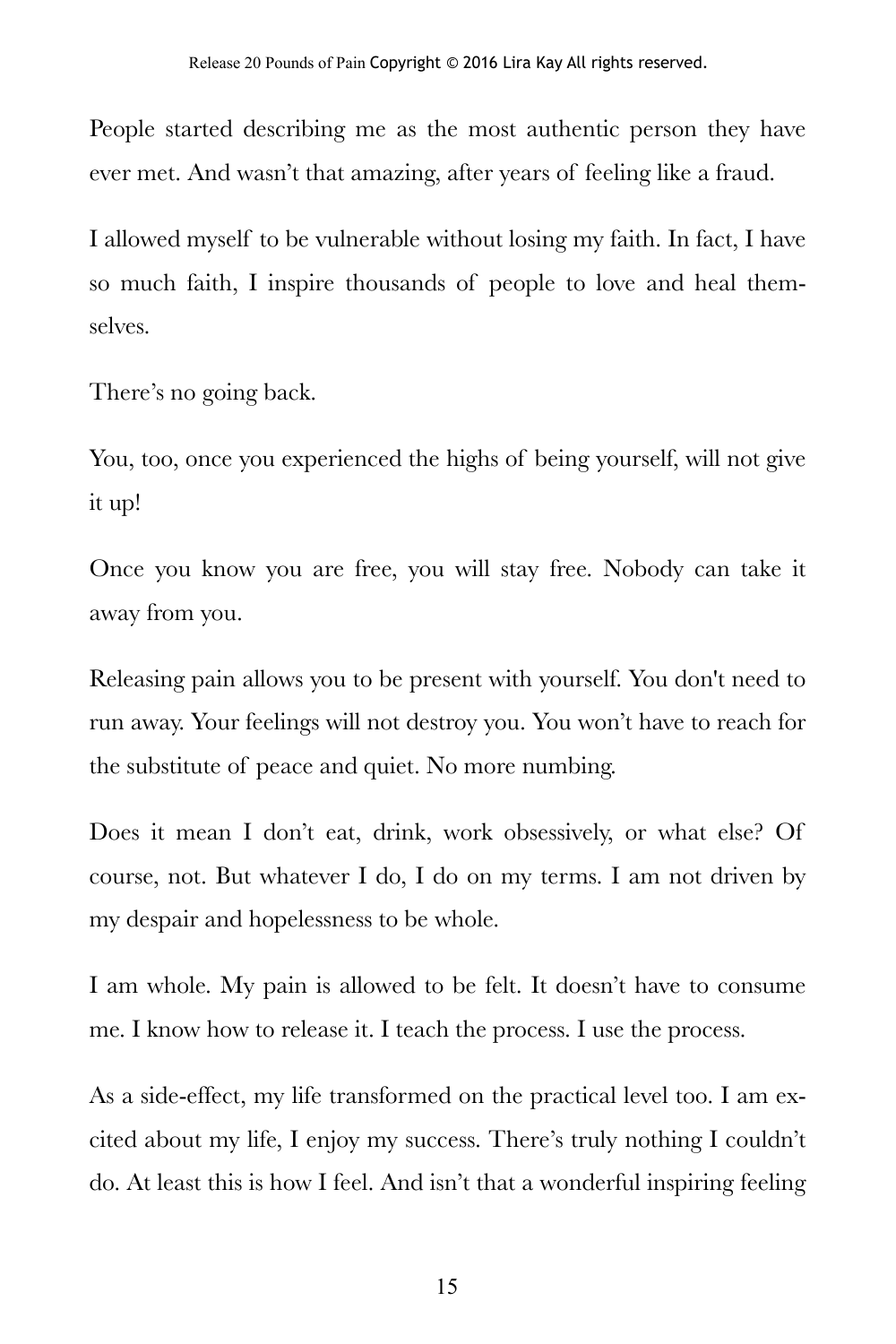People started describing me as the most authentic person they have ever met. And wasn't that amazing, after years of feeling like a fraud.

I allowed myself to be vulnerable without losing my faith. In fact, I have so much faith, I inspire thousands of people to love and heal themselves.

There's no going back.

You, too, once you experienced the highs of being yourself, will not give it up!

Once you know you are free, you will stay free. Nobody can take it away from you.

Releasing pain allows you to be present with yourself. You don't need to run away. Your feelings will not destroy you. You won't have to reach for the substitute of peace and quiet. No more numbing.

Does it mean I don't eat, drink, work obsessively, or what else? Of course, not. But whatever I do, I do on my terms. I am not driven by my despair and hopelessness to be whole.

I am whole. My pain is allowed to be felt. It doesn't have to consume me. I know how to release it. I teach the process. I use the process.

As a side-effect, my life transformed on the practical level too. I am excited about my life, I enjoy my success. There's truly nothing I couldn't do. At least this is how I feel. And isn't that a wonderful inspiring feeling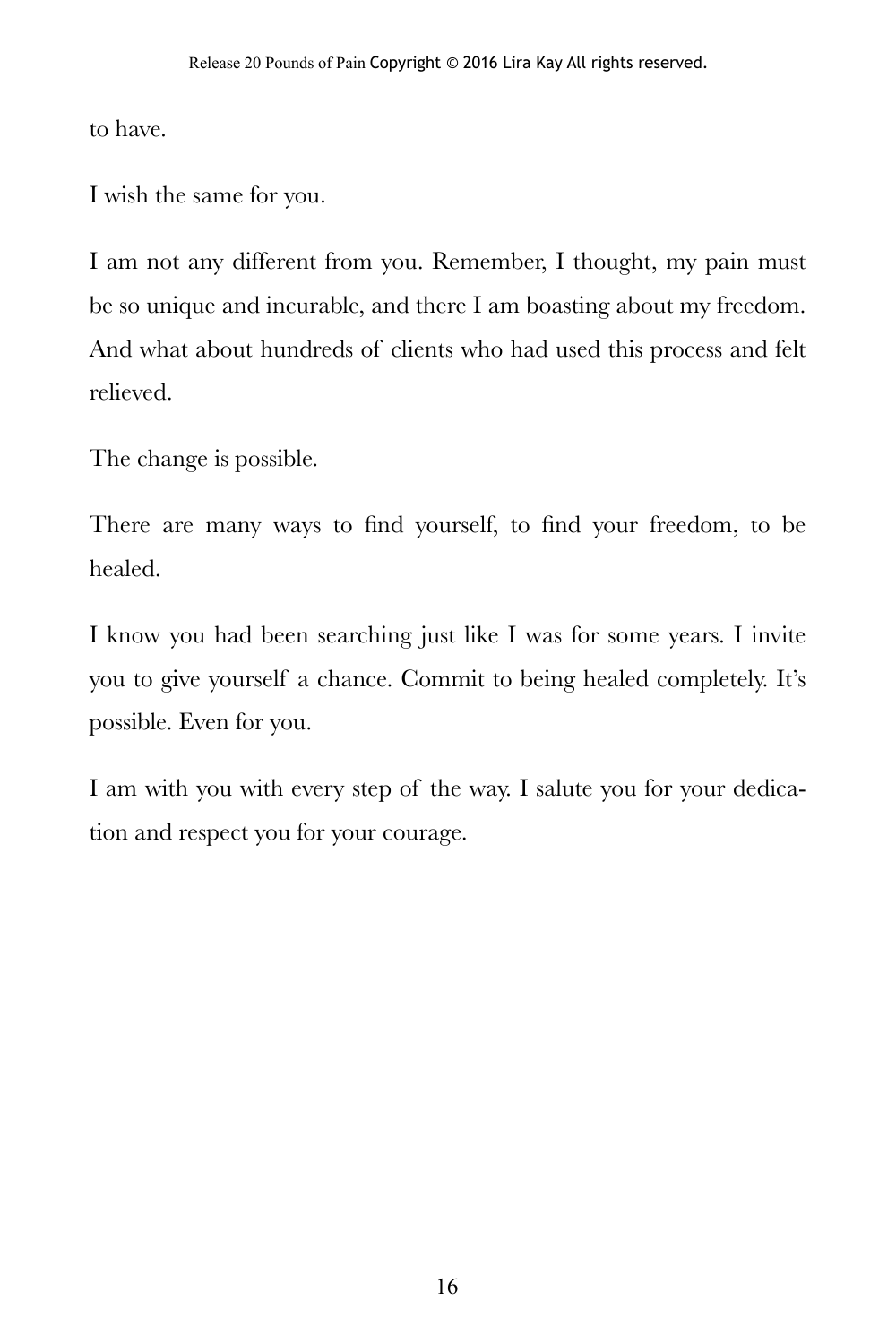to have.

I wish the same for you.

I am not any different from you. Remember, I thought, my pain must be so unique and incurable, and there I am boasting about my freedom. And what about hundreds of clients who had used this process and felt relieved.

The change is possible.

There are many ways to find yourself, to find your freedom, to be healed.

I know you had been searching just like I was for some years. I invite you to give yourself a chance. Commit to being healed completely. It's possible. Even for you.

I am with you with every step of the way. I salute you for your dedication and respect you for your courage.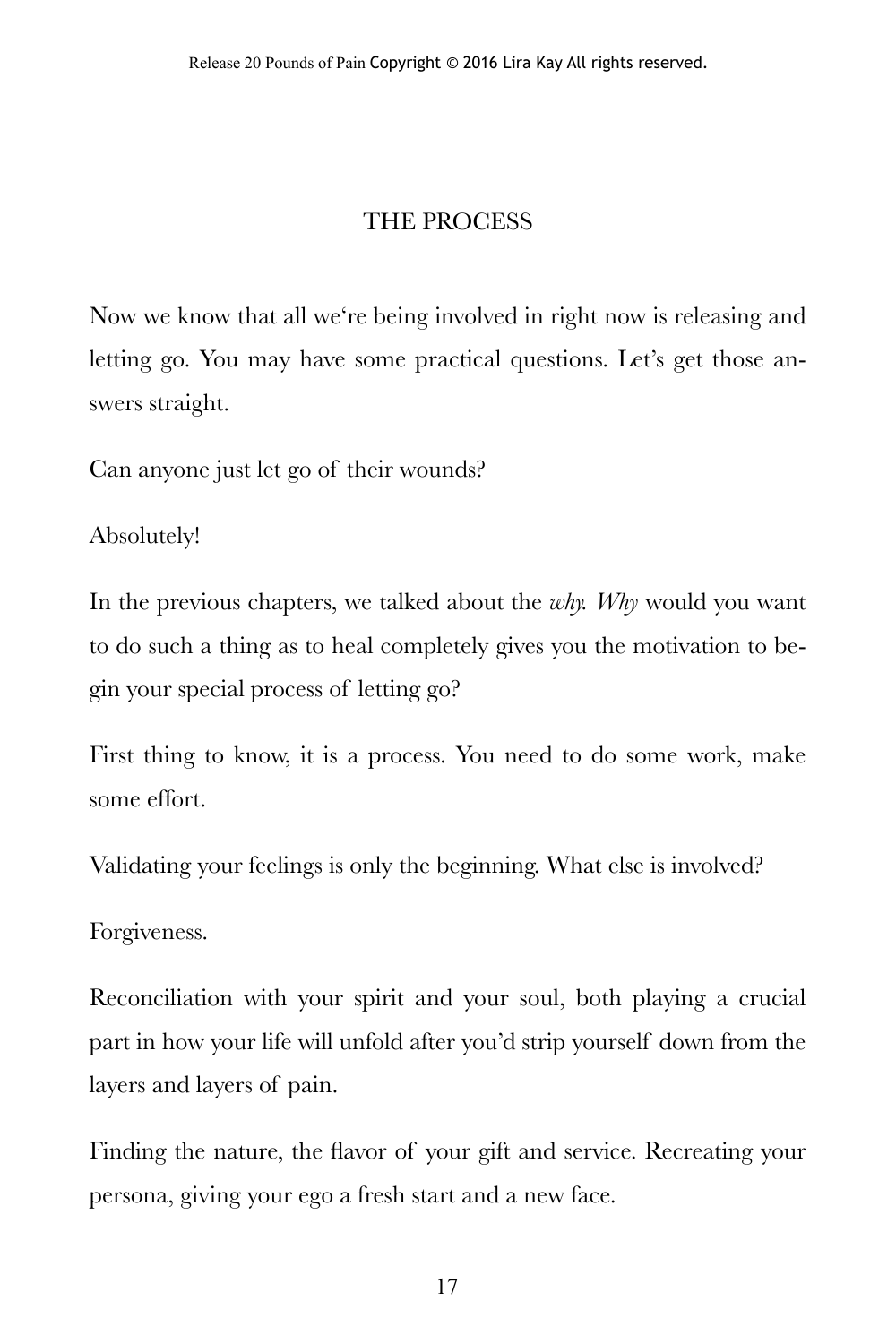#### THE PROCESS

Now we know that all we're being involved in right now is releasing and letting go. You may have some practical questions. Let's get those answers straight.

Can anyone just let go of their wounds?

Absolutely!

In the previous chapters, we talked about the *why. Why* would you want to do such a thing as to heal completely gives you the motivation to begin your special process of letting go?

First thing to know, it is a process. You need to do some work, make some effort.

Validating your feelings is only the beginning. What else is involved?

Forgiveness.

Reconciliation with your spirit and your soul, both playing a crucial part in how your life will unfold after you'd strip yourself down from the layers and layers of pain.

Finding the nature, the flavor of your gift and service. Recreating your persona, giving your ego a fresh start and a new face.

17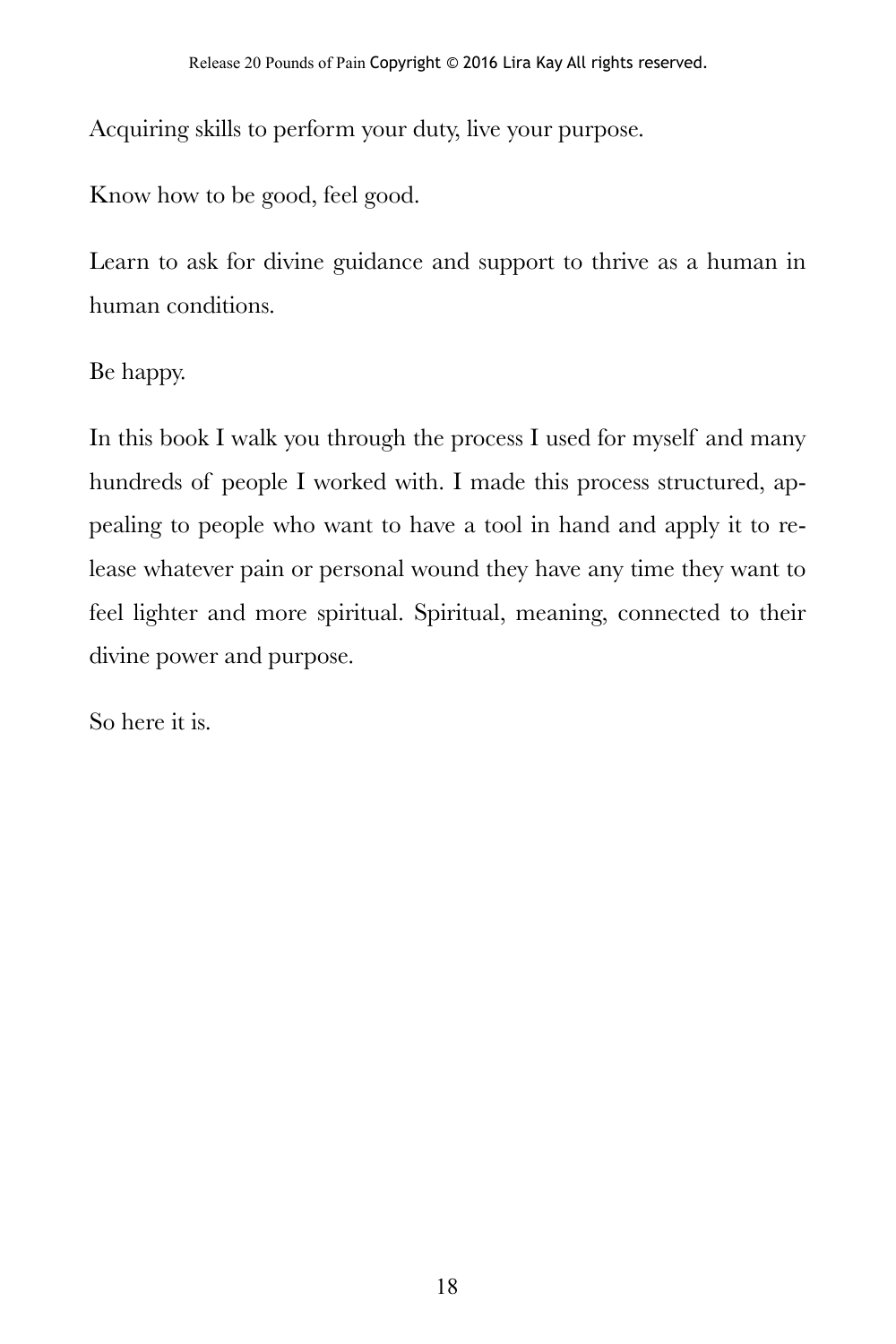Acquiring skills to perform your duty, live your purpose.

Know how to be good, feel good.

Learn to ask for divine guidance and support to thrive as a human in human conditions.

Be happy.

In this book I walk you through the process I used for myself and many hundreds of people I worked with. I made this process structured, appealing to people who want to have a tool in hand and apply it to release whatever pain or personal wound they have any time they want to feel lighter and more spiritual. Spiritual, meaning, connected to their divine power and purpose.

So here it is.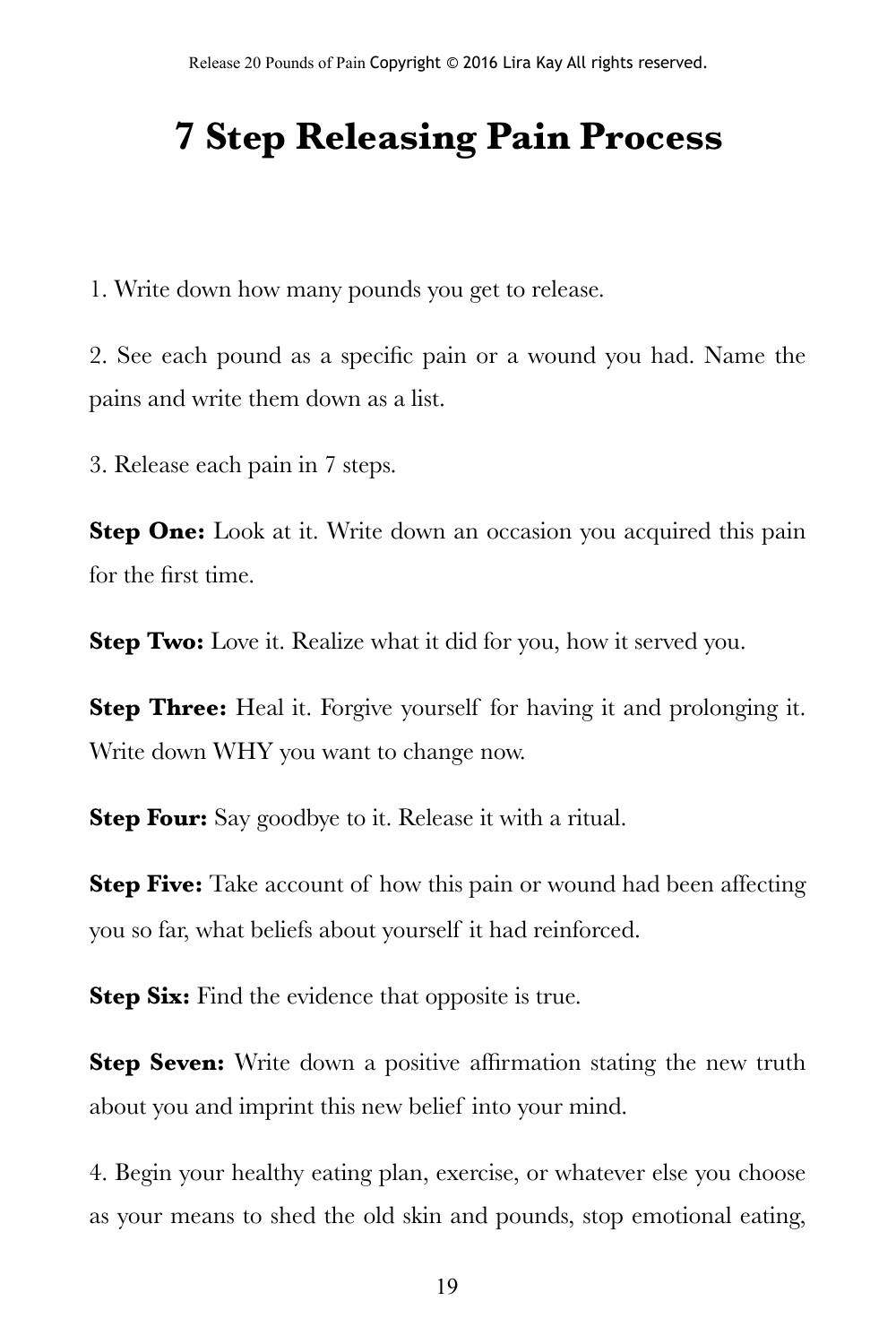### **7 Step Releasing Pain Process**

1. Write down how many pounds you get to release.

2. See each pound as a specific pain or a wound you had. Name the pains and write them down as a list.

3. Release each pain in 7 steps.

**Step One:** Look at it. Write down an occasion you acquired this pain for the first time.

**Step Two:** Love it. Realize what it did for you, how it served you.

**Step Three:** Heal it. Forgive yourself for having it and prolonging it. Write down WHY you want to change now.

**Step Four:** Say goodbye to it. Release it with a ritual.

**Step Five:** Take account of how this pain or wound had been affecting you so far, what beliefs about yourself it had reinforced.

**Step Six:** Find the evidence that opposite is true.

**Step Seven:** Write down a positive affirmation stating the new truth about you and imprint this new belief into your mind.

4. Begin your healthy eating plan, exercise, or whatever else you choose as your means to shed the old skin and pounds, stop emotional eating,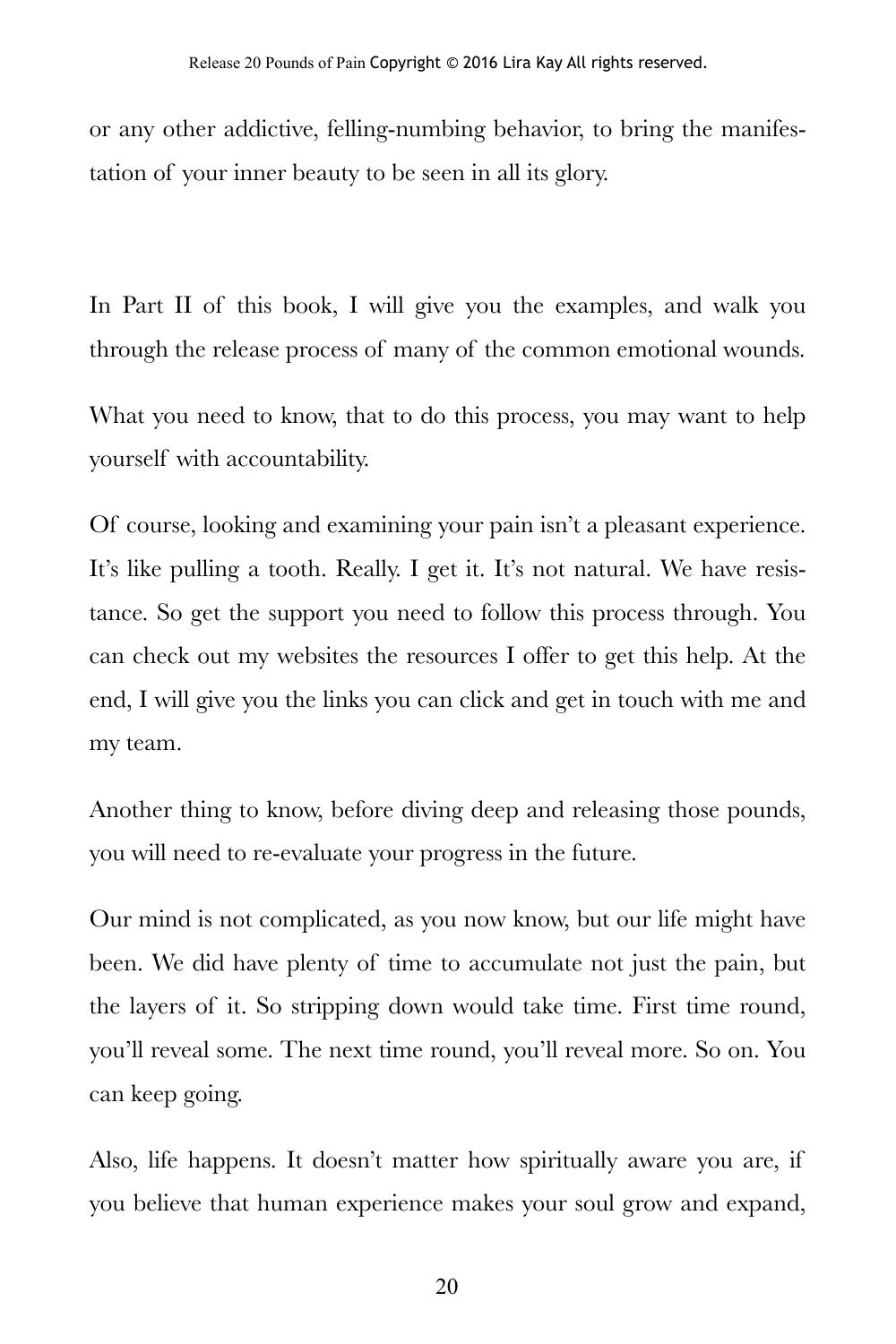or any other addictive, felling-numbing behavior, to bring the manifestation of your inner beauty to be seen in all its glory.

In Part II of this book, I will give you the examples, and walk you through the release process of many of the common emotional wounds.

What you need to know, that to do this process, you may want to help yourself with accountability.

Of course, looking and examining your pain isn't a pleasant experience. It's like pulling a tooth. Really. I get it. It's not natural. We have resistance. So get the support you need to follow this process through. You can check out my websites the resources I offer to get this help. At the end, I will give you the links you can click and get in touch with me and my team.

Another thing to know, before diving deep and releasing those pounds, you will need to re-evaluate your progress in the future.

Our mind is not complicated, as you now know, but our life might have been. We did have plenty of time to accumulate not just the pain, but the layers of it. So stripping down would take time. First time round, you'll reveal some. The next time round, you'll reveal more. So on. You can keep going.

Also, life happens. It doesn't matter how spiritually aware you are, if you believe that human experience makes your soul grow and expand,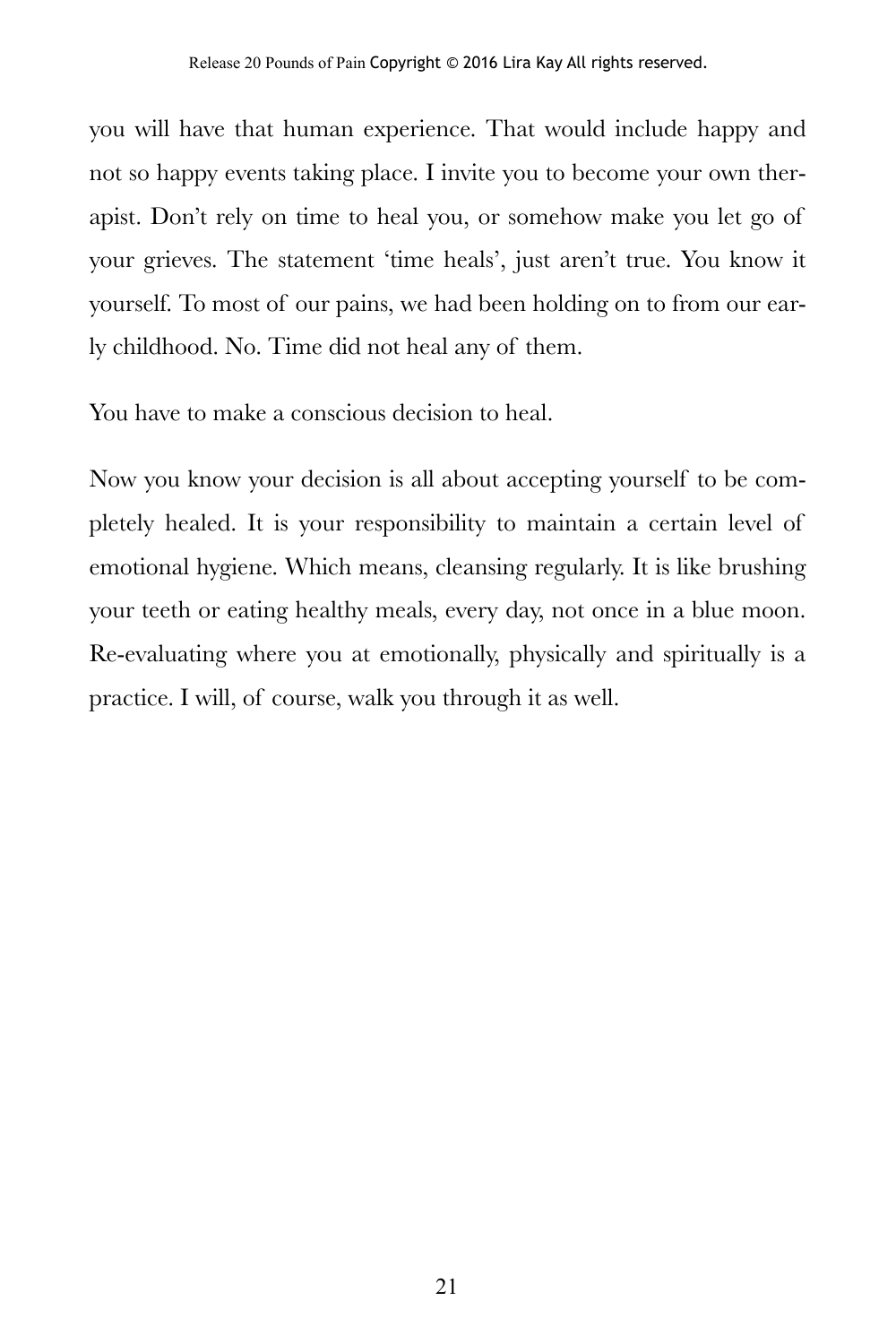you will have that human experience. That would include happy and not so happy events taking place. I invite you to become your own therapist. Don't rely on time to heal you, or somehow make you let go of your grieves. The statement 'time heals', just aren't true. You know it yourself. To most of our pains, we had been holding on to from our early childhood. No. Time did not heal any of them.

You have to make a conscious decision to heal.

Now you know your decision is all about accepting yourself to be completely healed. It is your responsibility to maintain a certain level of emotional hygiene. Which means, cleansing regularly. It is like brushing your teeth or eating healthy meals, every day, not once in a blue moon. Re-evaluating where you at emotionally, physically and spiritually is a practice. I will, of course, walk you through it as well.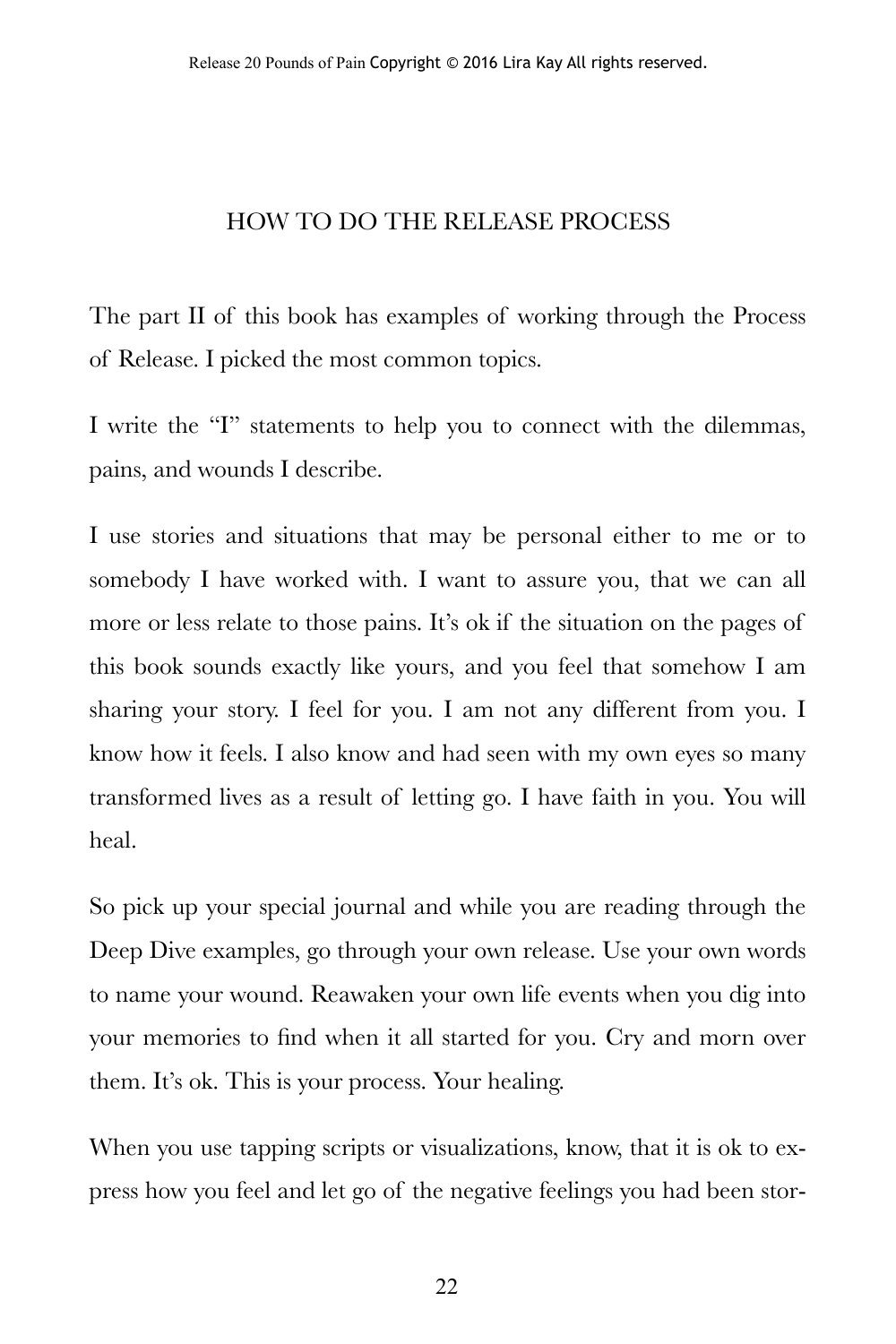#### HOW TO DO THE RELEASE PROCESS

The part II of this book has examples of working through the Process of Release. I picked the most common topics.

I write the "I" statements to help you to connect with the dilemmas, pains, and wounds I describe.

I use stories and situations that may be personal either to me or to somebody I have worked with. I want to assure you, that we can all more or less relate to those pains. It's ok if the situation on the pages of this book sounds exactly like yours, and you feel that somehow I am sharing your story. I feel for you. I am not any different from you. I know how it feels. I also know and had seen with my own eyes so many transformed lives as a result of letting go. I have faith in you. You will heal.

So pick up your special journal and while you are reading through the Deep Dive examples, go through your own release. Use your own words to name your wound. Reawaken your own life events when you dig into your memories to find when it all started for you. Cry and morn over them. It's ok. This is your process. Your healing.

When you use tapping scripts or visualizations, know, that it is ok to express how you feel and let go of the negative feelings you had been stor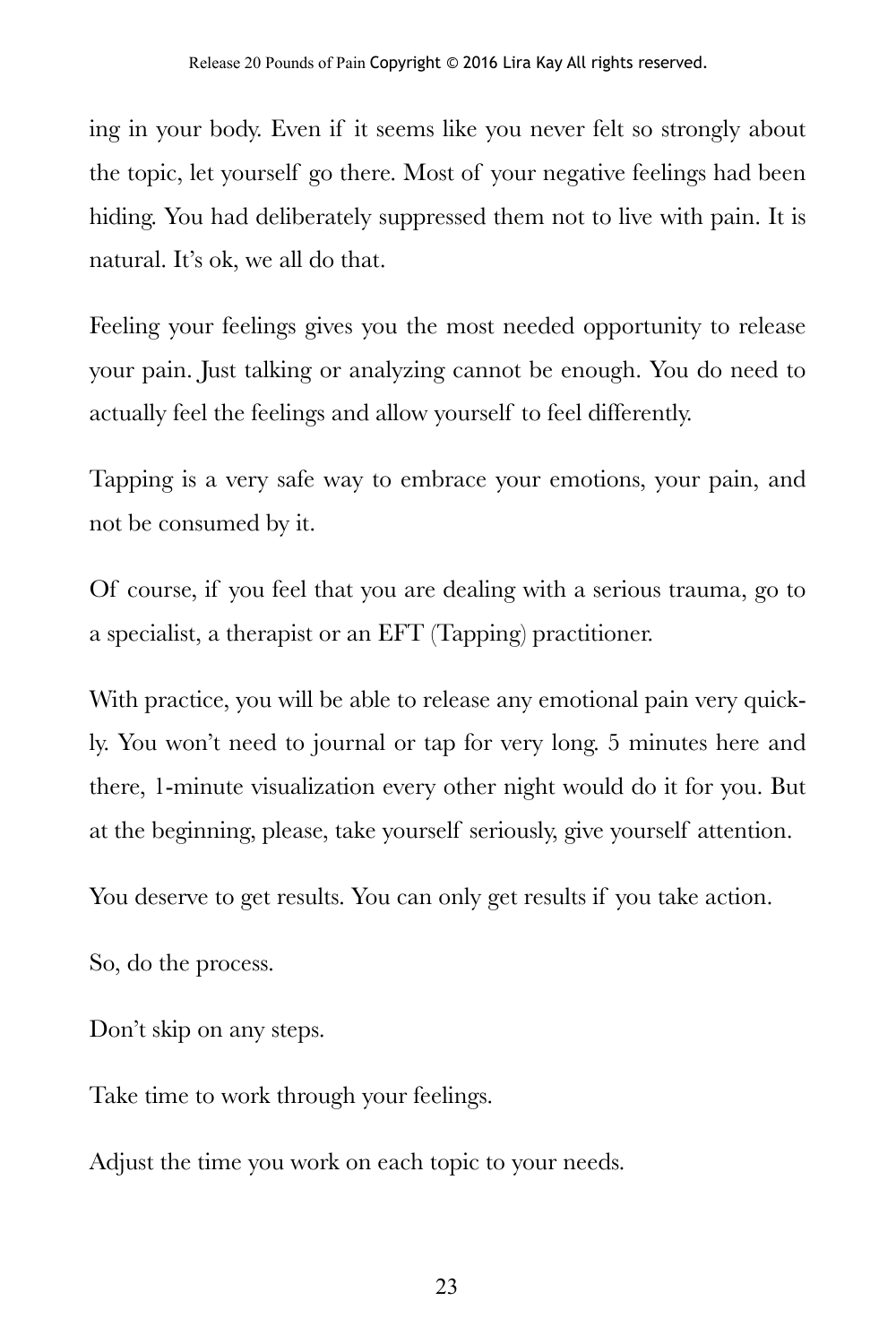ing in your body. Even if it seems like you never felt so strongly about the topic, let yourself go there. Most of your negative feelings had been hiding. You had deliberately suppressed them not to live with pain. It is natural. It's ok, we all do that.

Feeling your feelings gives you the most needed opportunity to release your pain. Just talking or analyzing cannot be enough. You do need to actually feel the feelings and allow yourself to feel differently.

Tapping is a very safe way to embrace your emotions, your pain, and not be consumed by it.

Of course, if you feel that you are dealing with a serious trauma, go to a specialist, a therapist or an EFT (Tapping) practitioner.

With practice, you will be able to release any emotional pain very quickly. You won't need to journal or tap for very long. 5 minutes here and there, 1-minute visualization every other night would do it for you. But at the beginning, please, take yourself seriously, give yourself attention.

You deserve to get results. You can only get results if you take action.

So, do the process.

Don't skip on any steps.

Take time to work through your feelings.

Adjust the time you work on each topic to your needs.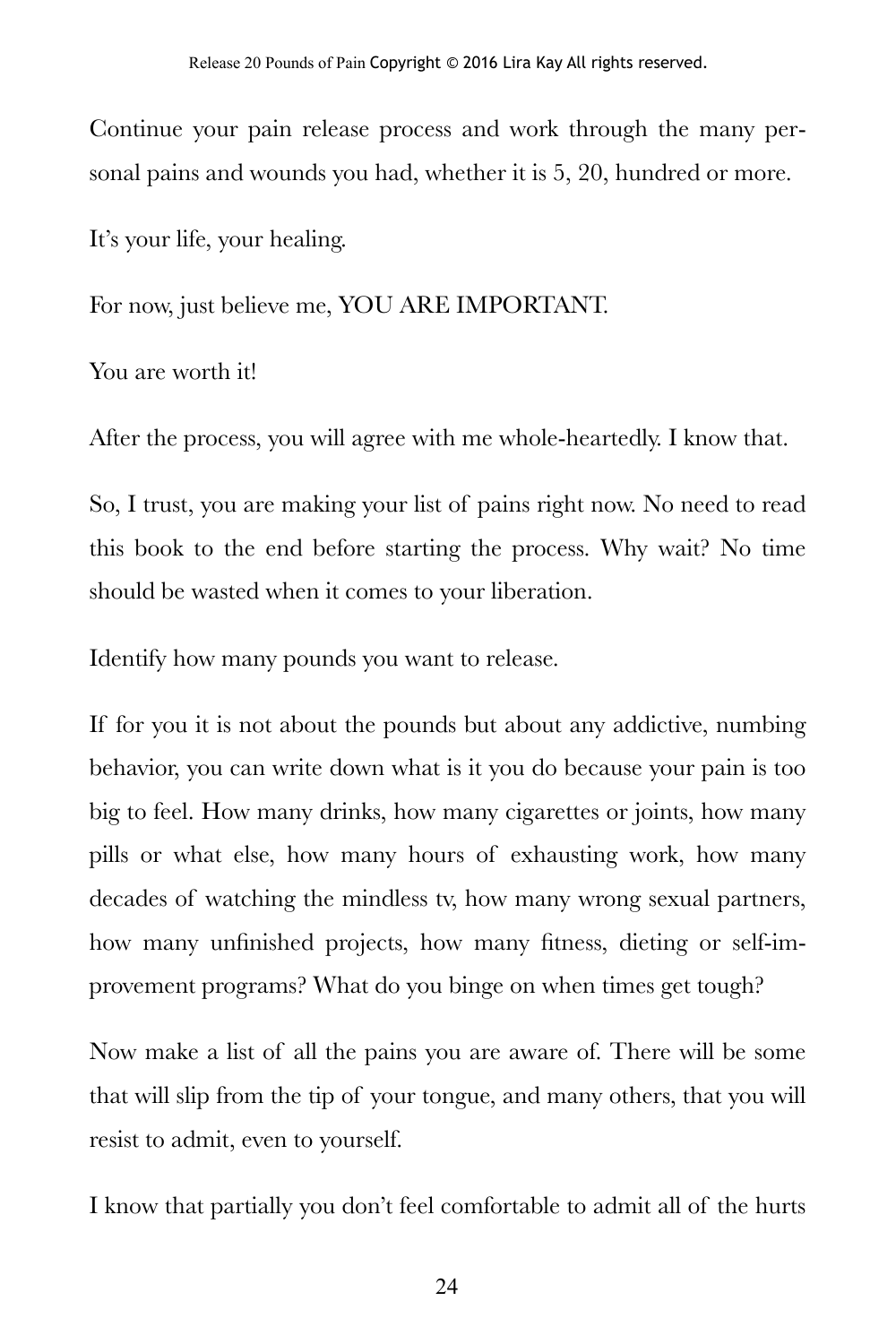Continue your pain release process and work through the many personal pains and wounds you had, whether it is 5, 20, hundred or more.

It's your life, your healing.

For now, just believe me, YOU ARE IMPORTANT.

You are worth it!

After the process, you will agree with me whole-heartedly. I know that.

So, I trust, you are making your list of pains right now. No need to read this book to the end before starting the process. Why wait? No time should be wasted when it comes to your liberation.

Identify how many pounds you want to release.

If for you it is not about the pounds but about any addictive, numbing behavior, you can write down what is it you do because your pain is too big to feel. How many drinks, how many cigarettes or joints, how many pills or what else, how many hours of exhausting work, how many decades of watching the mindless tv, how many wrong sexual partners, how many unfinished projects, how many fitness, dieting or self-improvement programs? What do you binge on when times get tough?

Now make a list of all the pains you are aware of. There will be some that will slip from the tip of your tongue, and many others, that you will resist to admit, even to yourself.

I know that partially you don't feel comfortable to admit all of the hurts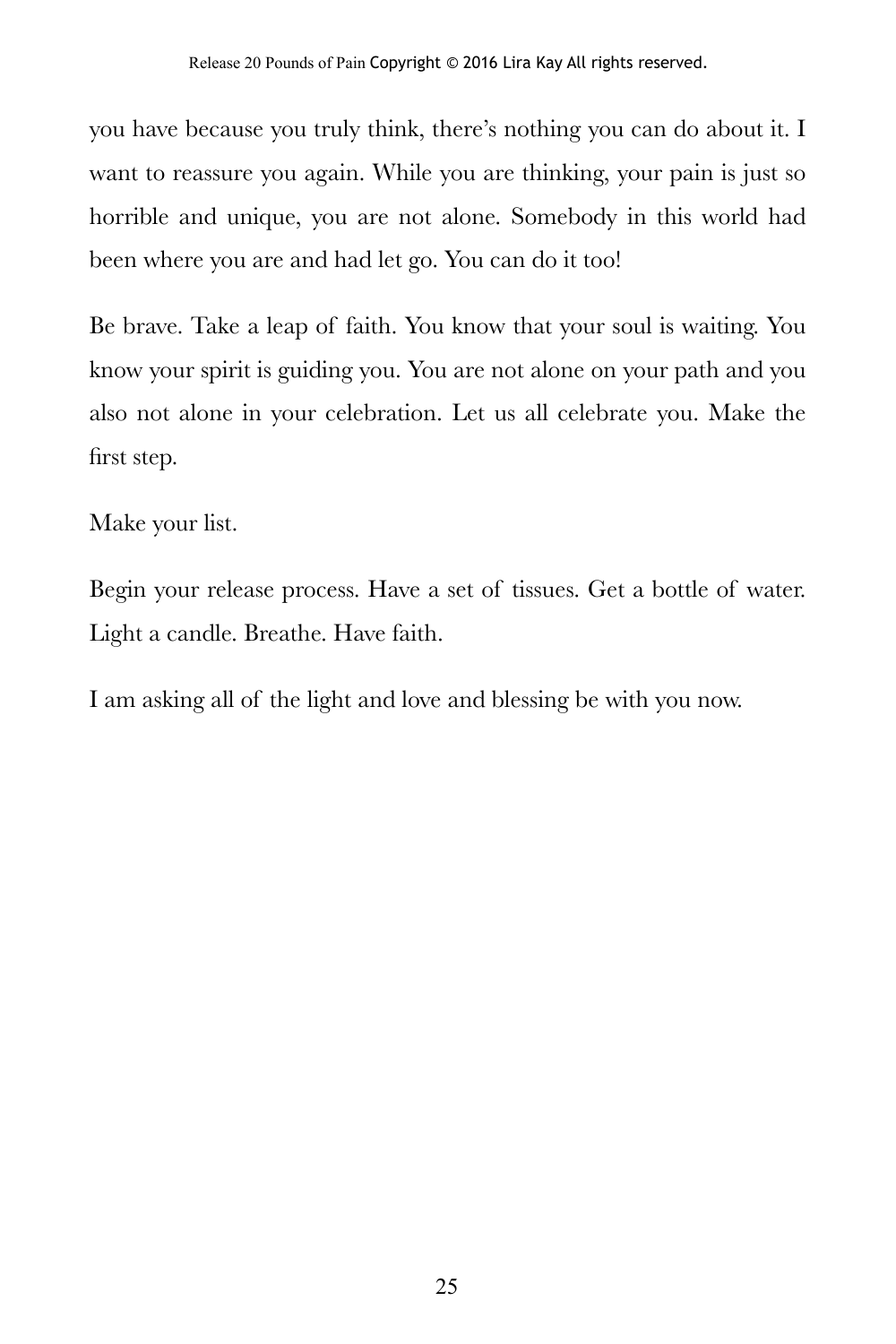you have because you truly think, there's nothing you can do about it. I want to reassure you again. While you are thinking, your pain is just so horrible and unique, you are not alone. Somebody in this world had been where you are and had let go. You can do it too!

Be brave. Take a leap of faith. You know that your soul is waiting. You know your spirit is guiding you. You are not alone on your path and you also not alone in your celebration. Let us all celebrate you. Make the first step.

Make your list.

Begin your release process. Have a set of tissues. Get a bottle of water. Light a candle. Breathe. Have faith.

I am asking all of the light and love and blessing be with you now.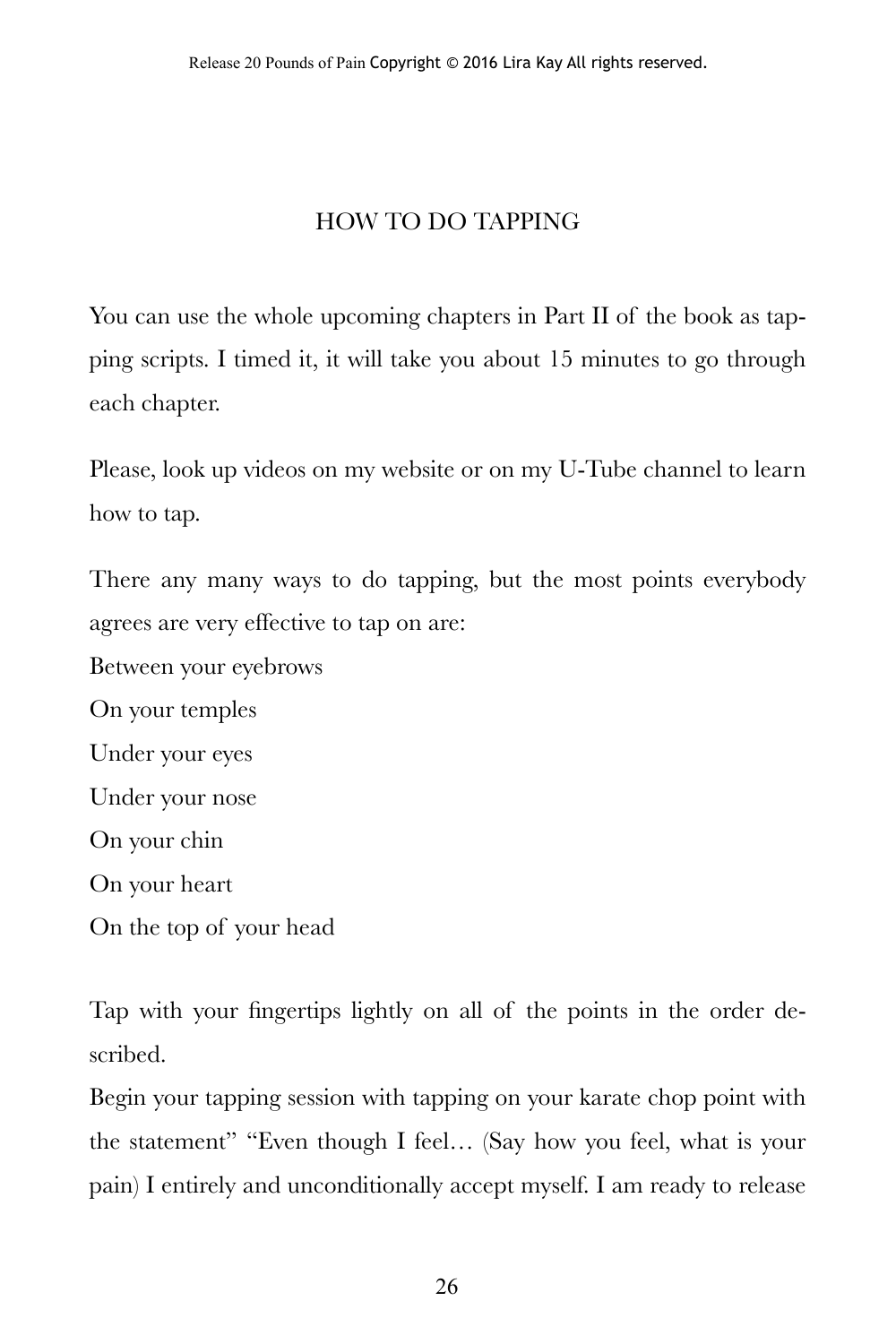#### HOW TO DO TAPPING

You can use the whole upcoming chapters in Part II of the book as tapping scripts. I timed it, it will take you about 15 minutes to go through each chapter.

Please, look up videos on my website or on my U-Tube channel to learn how to tap.

There any many ways to do tapping, but the most points everybody agrees are very effective to tap on are:

Between your eyebrows On your temples Under your eyes Under your nose On your chin On your heart On the top of your head

Tap with your fingertips lightly on all of the points in the order described.

Begin your tapping session with tapping on your karate chop point with the statement" "Even though I feel… (Say how you feel, what is your pain) I entirely and unconditionally accept myself. I am ready to release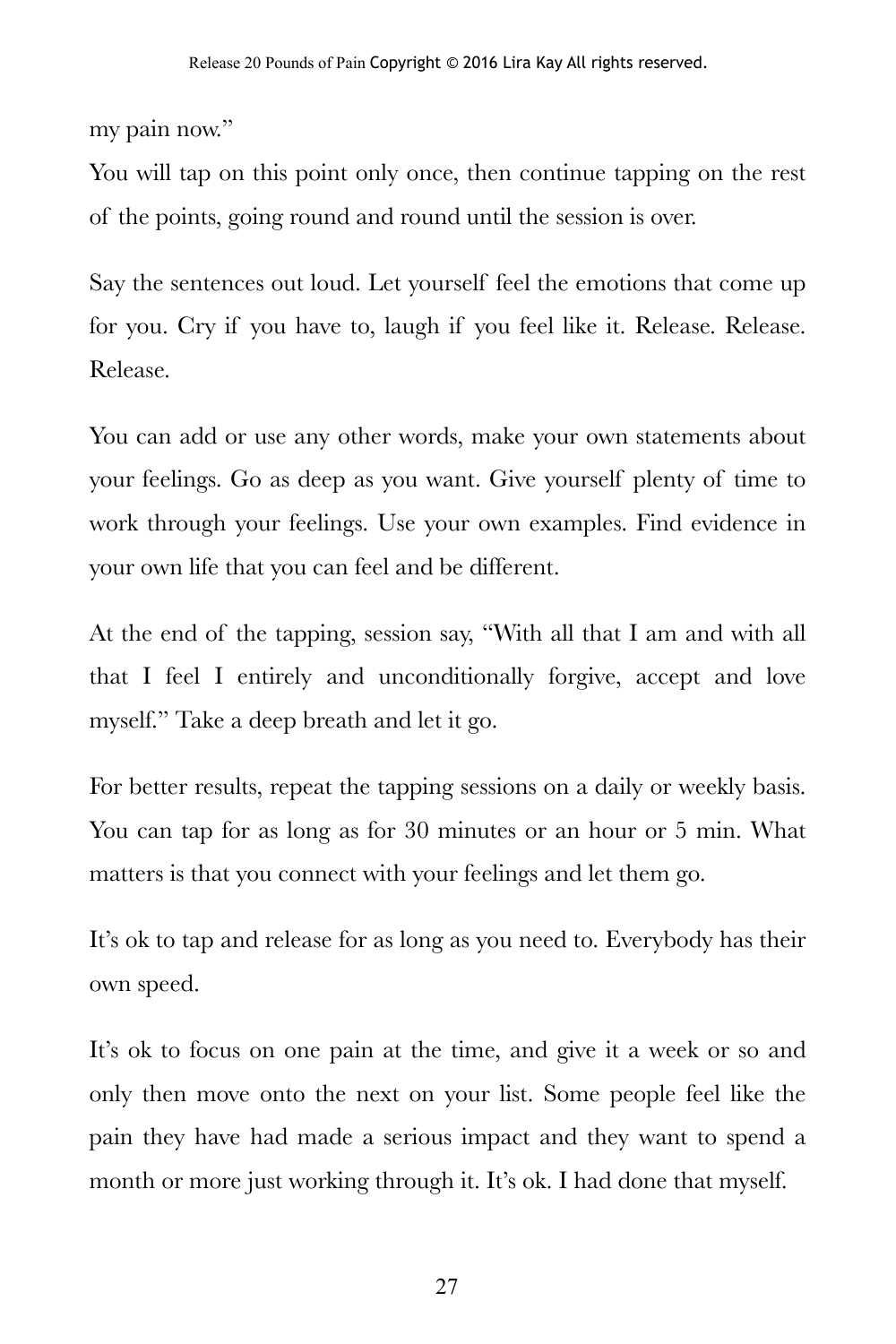my pain now."

You will tap on this point only once, then continue tapping on the rest of the points, going round and round until the session is over.

Say the sentences out loud. Let yourself feel the emotions that come up for you. Cry if you have to, laugh if you feel like it. Release. Release. Release.

You can add or use any other words, make your own statements about your feelings. Go as deep as you want. Give yourself plenty of time to work through your feelings. Use your own examples. Find evidence in your own life that you can feel and be different.

At the end of the tapping, session say, "With all that I am and with all that I feel I entirely and unconditionally forgive, accept and love myself." Take a deep breath and let it go.

For better results, repeat the tapping sessions on a daily or weekly basis. You can tap for as long as for 30 minutes or an hour or 5 min. What matters is that you connect with your feelings and let them go.

It's ok to tap and release for as long as you need to. Everybody has their own speed.

It's ok to focus on one pain at the time, and give it a week or so and only then move onto the next on your list. Some people feel like the pain they have had made a serious impact and they want to spend a month or more just working through it. It's ok. I had done that myself.

27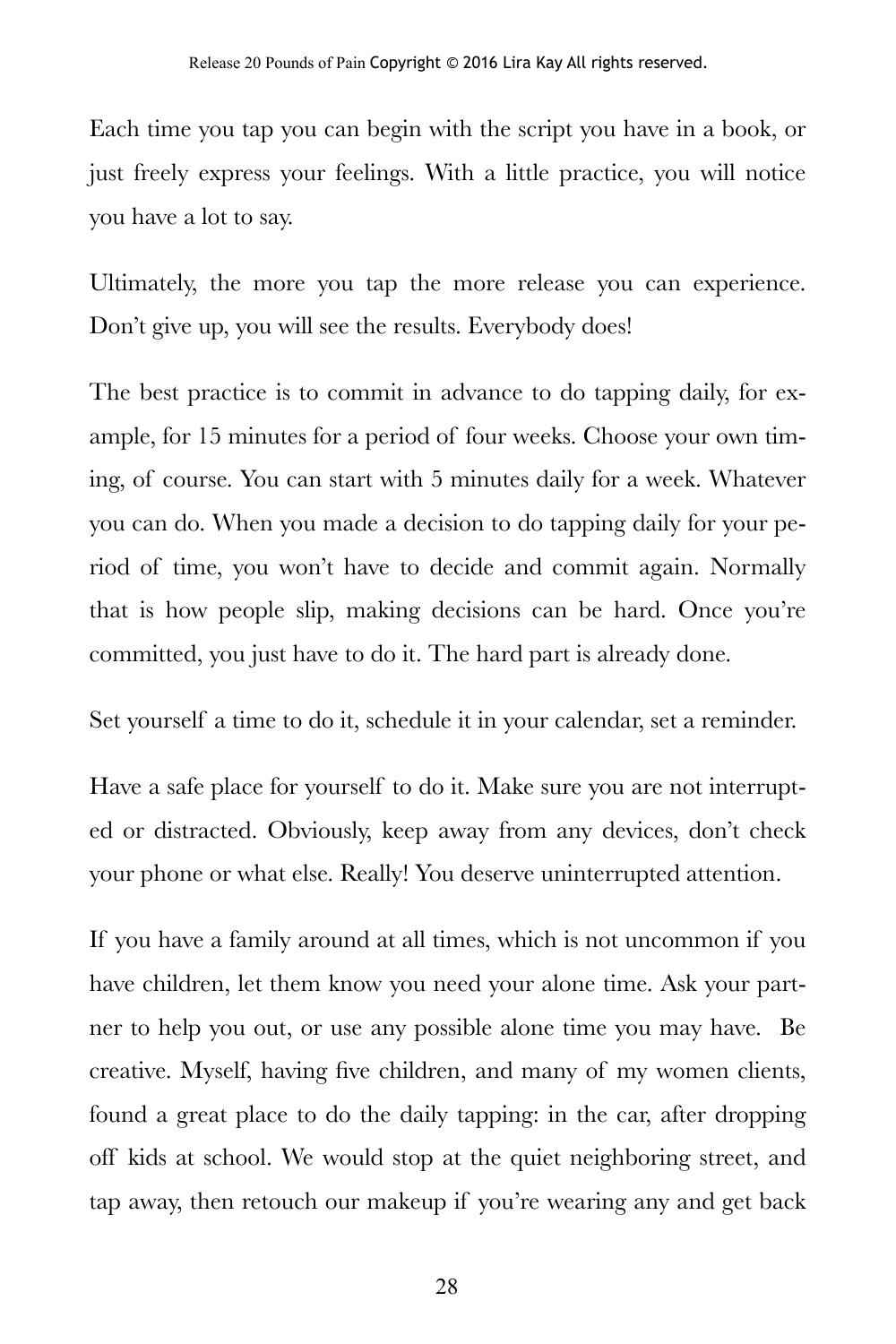Each time you tap you can begin with the script you have in a book, or just freely express your feelings. With a little practice, you will notice you have a lot to say.

Ultimately, the more you tap the more release you can experience. Don't give up, you will see the results. Everybody does!

The best practice is to commit in advance to do tapping daily, for example, for 15 minutes for a period of four weeks. Choose your own timing, of course. You can start with 5 minutes daily for a week. Whatever you can do. When you made a decision to do tapping daily for your period of time, you won't have to decide and commit again. Normally that is how people slip, making decisions can be hard. Once you're committed, you just have to do it. The hard part is already done.

Set yourself a time to do it, schedule it in your calendar, set a reminder.

Have a safe place for yourself to do it. Make sure you are not interrupted or distracted. Obviously, keep away from any devices, don't check your phone or what else. Really! You deserve uninterrupted attention.

If you have a family around at all times, which is not uncommon if you have children, let them know you need your alone time. Ask your partner to help you out, or use any possible alone time you may have. Be creative. Myself, having five children, and many of my women clients, found a great place to do the daily tapping: in the car, after dropping off kids at school. We would stop at the quiet neighboring street, and tap away, then retouch our makeup if you're wearing any and get back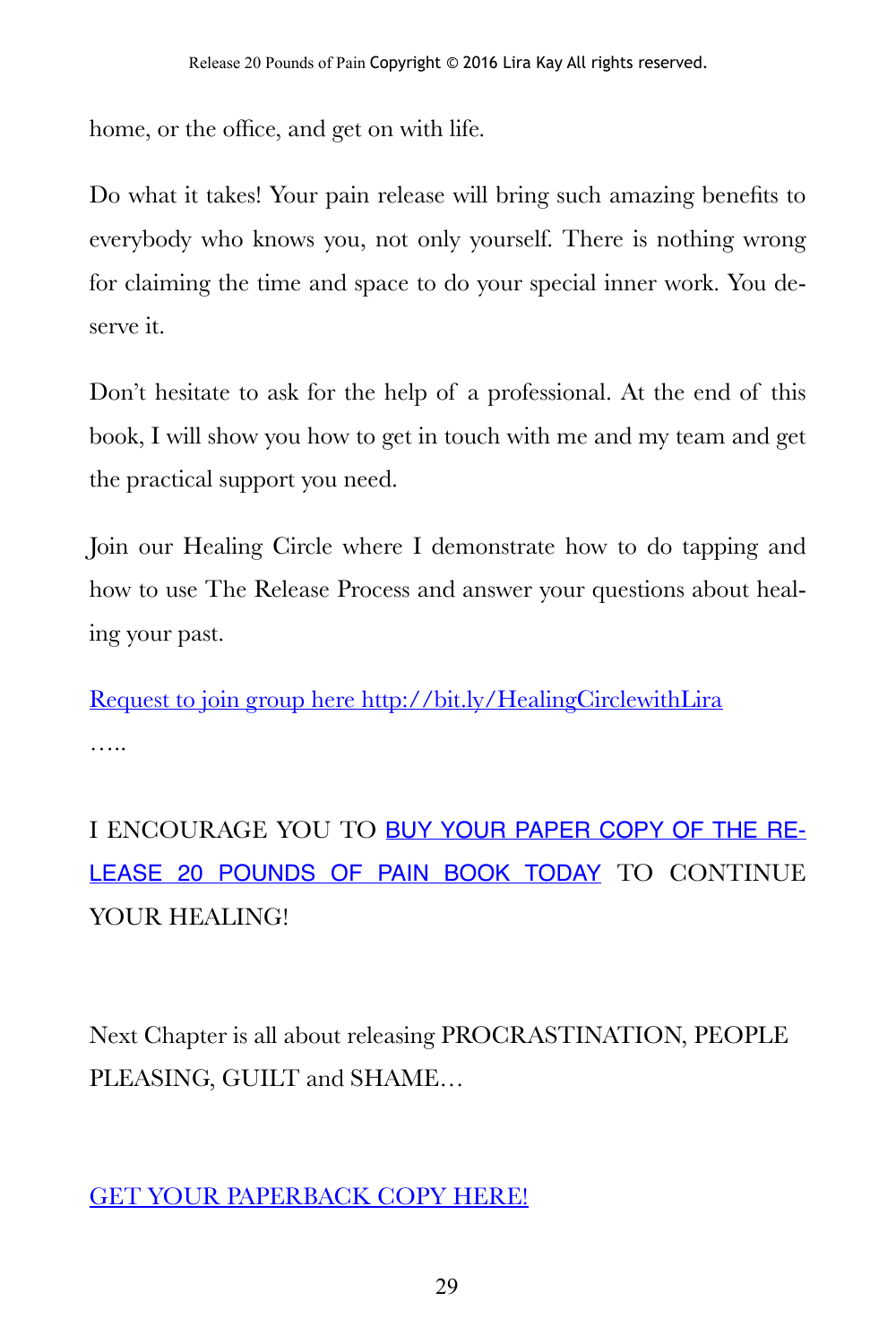home, or the office, and get on with life.

Do what it takes! Your pain release will bring such amazing benefits to everybody who knows you, not only yourself. There is nothing wrong for claiming the time and space to do your special inner work. You deserve it.

Don't hesitate to ask for the help of a professional. At the end of this book, I will show you how to get in touch with me and my team and get the practical support you need.

Join our Healing Circle where I demonstrate how to do tapping and how to use The Release Process and answer your questions about healing your past.

[Request to join group here http://bit.ly/HealingCirclewithLira](http://bit.ly/HealingCirclewithLira) …..

I ENCOURAGE YOU TO [BUY YOUR PAPER COPY OF THE RE](https://www.amazon.com/Release-Pounds-Pain-Practical-Addictions/dp/1793018790/ref=sr_1_5?s=books&ie=UTF8&qid=1546533223&sr=1-5)-[LEASE 20 POUNDS OF PAIN BOOK TODAY](https://www.amazon.com/Release-Pounds-Pain-Practical-Addictions/dp/1793018790/ref=sr_1_5?s=books&ie=UTF8&qid=1546533223&sr=1-5) TO CONTINUE YOUR HEALING!

Next Chapter is all about releasing PROCRASTINATION, PEOPLE PLEASING, GUILT and SHAME…

[GET YOUR PAPERBACK COPY HERE!](https://www.amazon.com/Release-Pounds-Pain-Practical-Addictions/dp/1793018790/ref=sr_1_5?s=books&ie=UTF8&qid=1546533223&sr=1-5)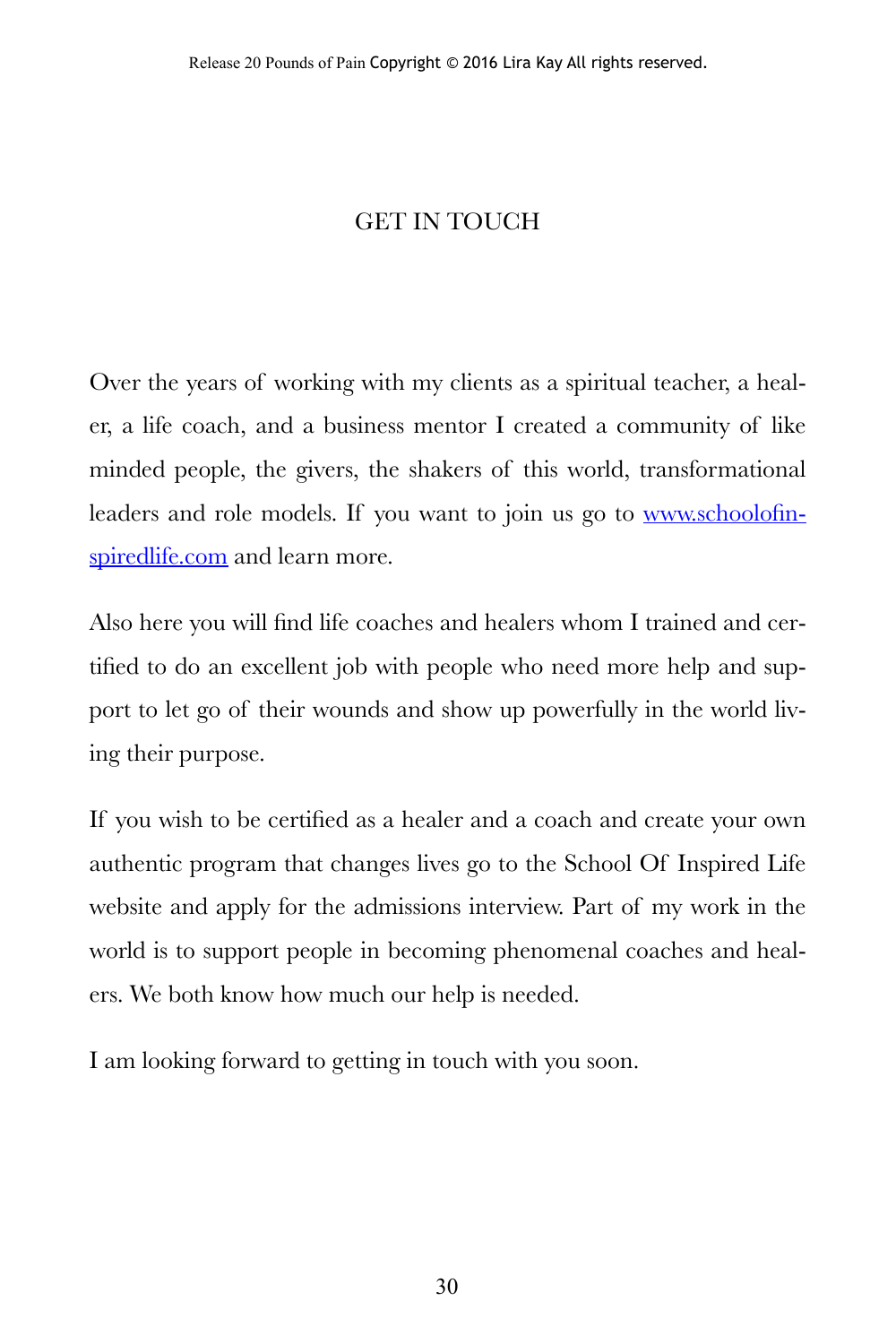#### GET IN TOUCH

Over the years of working with my clients as a spiritual teacher, a healer, a life coach, and a business mentor I created a community of like minded people, the givers, the shakers of this world, transformational leaders and role models. If you want to join us go to [www.schoolofin](http://www.schoolofinspiredlife.com)[spiredlife.com](http://www.schoolofinspiredlife.com) and learn more.

Also here you will find life coaches and healers whom I trained and certified to do an excellent job with people who need more help and support to let go of their wounds and show up powerfully in the world living their purpose.

If you wish to be certified as a healer and a coach and create your own authentic program that changes lives go to the School Of Inspired Life website and apply for the admissions interview. Part of my work in the world is to support people in becoming phenomenal coaches and healers. We both know how much our help is needed.

I am looking forward to getting in touch with you soon.